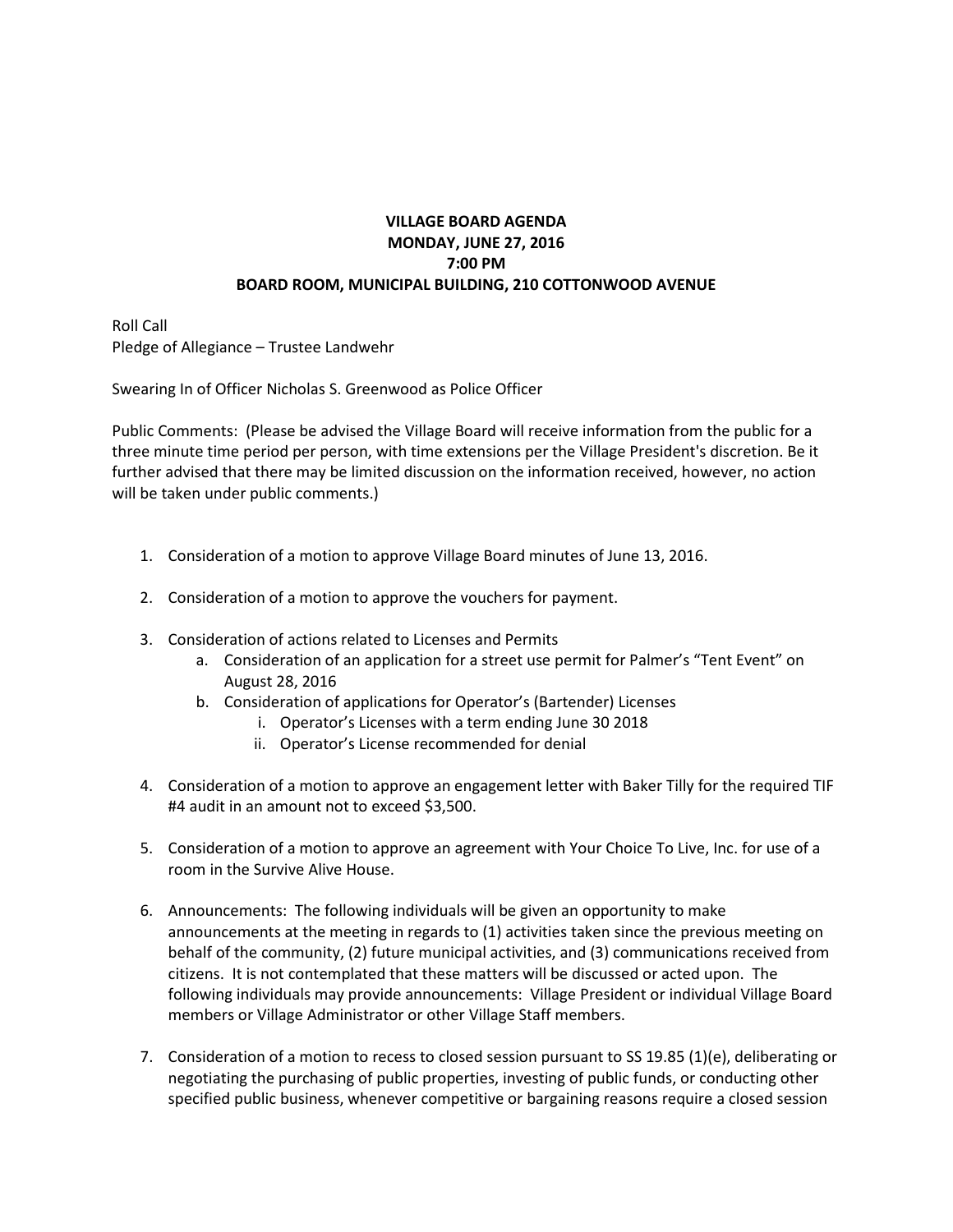### **VILLAGE BOARD AGENDA MONDAY, JUNE 27, 2016 7:00 PM BOARD ROOM, MUNICIPAL BUILDING, 210 COTTONWOOD AVENUE**

Roll Call Pledge of Allegiance – Trustee Landwehr

Swearing In of Officer Nicholas S. Greenwood as Police Officer

Public Comments: (Please be advised the Village Board will receive information from the public for a three minute time period per person, with time extensions per the Village President's discretion. Be it further advised that there may be limited discussion on the information received, however, no action will be taken under public comments.)

- 1. Consideration of a motion to approve Village Board minutes of June 13, 2016.
- 2. Consideration of a motion to approve the vouchers for payment.
- 3. Consideration of actions related to Licenses and Permits
	- a. Consideration of an application for a street use permit for Palmer's "Tent Event" on August 28, 2016
	- b. Consideration of applications for Operator's (Bartender) Licenses
		- i. Operator's Licenses with a term ending June 30 2018
		- ii. Operator's License recommended for denial
- 4. Consideration of a motion to approve an engagement letter with Baker Tilly for the required TIF #4 audit in an amount not to exceed \$3,500.
- 5. Consideration of a motion to approve an agreement with Your Choice To Live, Inc. for use of a room in the Survive Alive House.
- 6. Announcements: The following individuals will be given an opportunity to make announcements at the meeting in regards to (1) activities taken since the previous meeting on behalf of the community, (2) future municipal activities, and (3) communications received from citizens. It is not contemplated that these matters will be discussed or acted upon. The following individuals may provide announcements: Village President or individual Village Board members or Village Administrator or other Village Staff members.
- 7. Consideration of a motion to recess to closed session pursuant to SS 19.85 (1)(e), deliberating or negotiating the purchasing of public properties, investing of public funds, or conducting other specified public business, whenever competitive or bargaining reasons require a closed session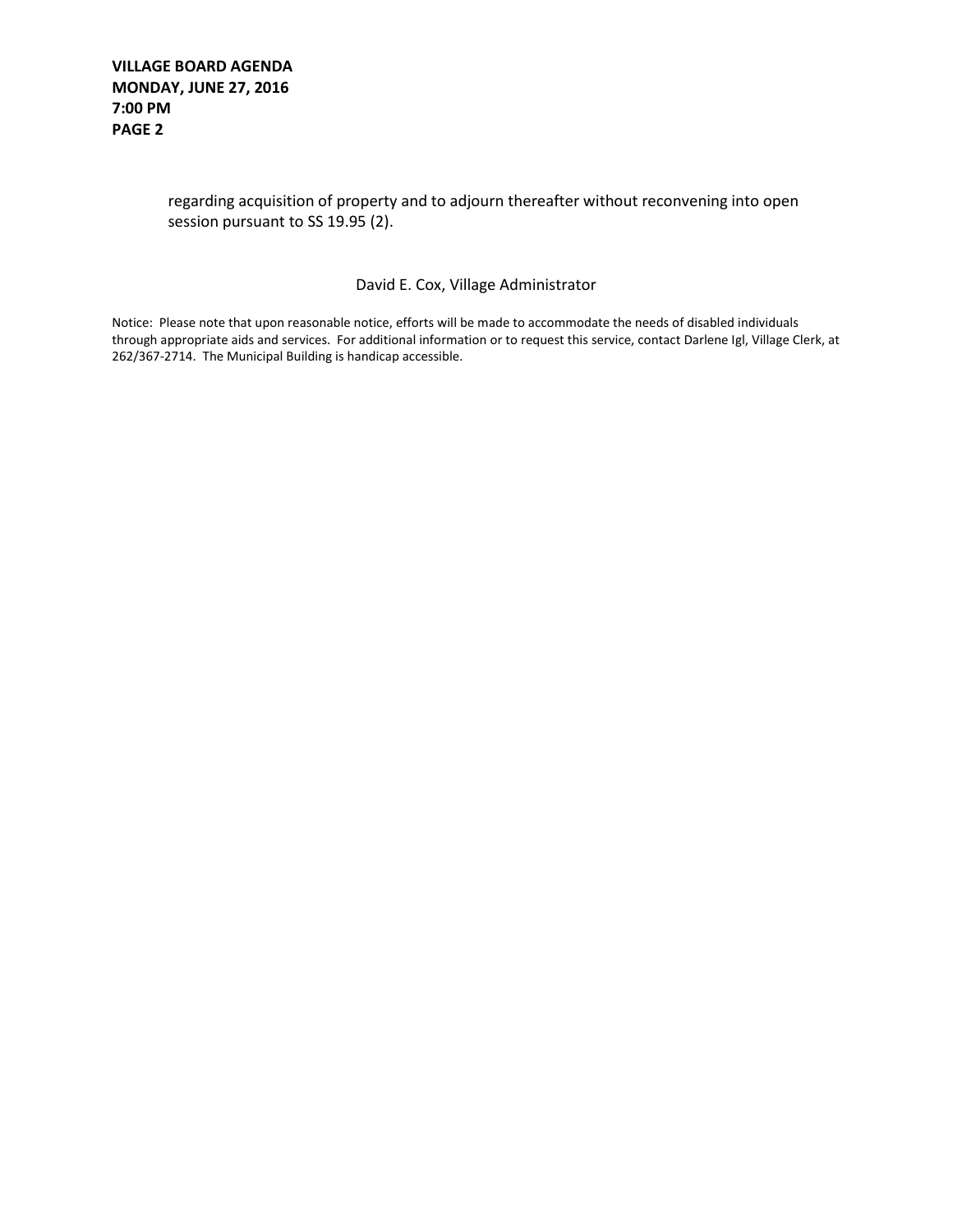#### **VILLAGE BOARD AGENDA MONDAY, JUNE 27, 2016 7:00 PM PAGE 2**

### regarding acquisition of property and to adjourn thereafter without reconvening into open session pursuant to SS 19.95 (2).

#### David E. Cox, Village Administrator

Notice: Please note that upon reasonable notice, efforts will be made to accommodate the needs of disabled individuals through appropriate aids and services. For additional information or to request this service, contact Darlene Igl, Village Clerk, at 262/367-2714. The Municipal Building is handicap accessible.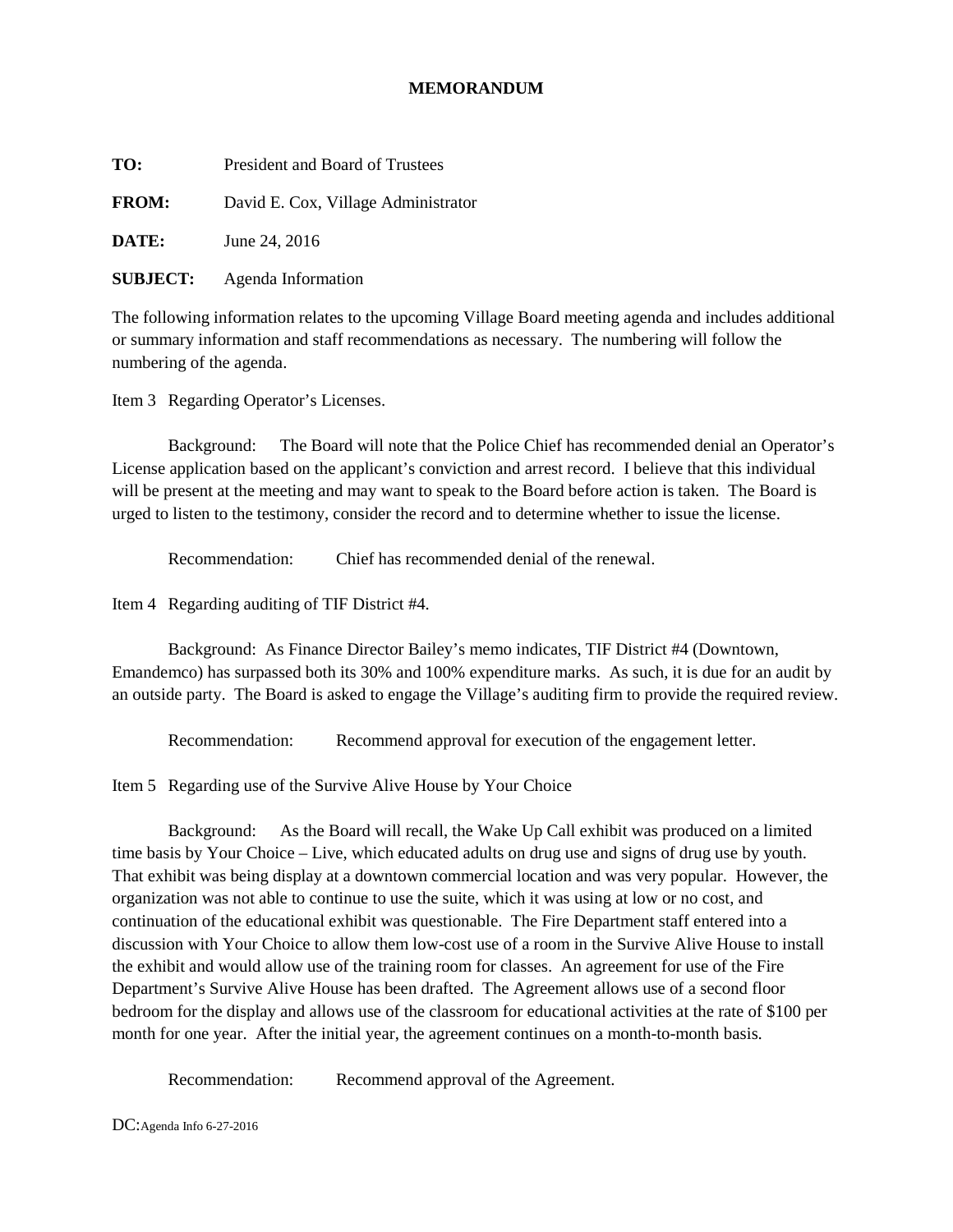#### **MEMORANDUM**

**TO:** President and Board of Trustees

**FROM:** David E. Cox, Village Administrator

**DATE:** June 24, 2016

**SUBJECT:** Agenda Information

The following information relates to the upcoming Village Board meeting agenda and includes additional or summary information and staff recommendations as necessary. The numbering will follow the numbering of the agenda.

Item 3 Regarding Operator's Licenses.

Background: The Board will note that the Police Chief has recommended denial an Operator's License application based on the applicant's conviction and arrest record. I believe that this individual will be present at the meeting and may want to speak to the Board before action is taken. The Board is urged to listen to the testimony, consider the record and to determine whether to issue the license.

Recommendation: Chief has recommended denial of the renewal.

Item 4 Regarding auditing of TIF District #4.

Background: As Finance Director Bailey's memo indicates, TIF District #4 (Downtown, Emandemco) has surpassed both its 30% and 100% expenditure marks. As such, it is due for an audit by an outside party. The Board is asked to engage the Village's auditing firm to provide the required review.

Recommendation: Recommend approval for execution of the engagement letter.

Item 5 Regarding use of the Survive Alive House by Your Choice

Background: As the Board will recall, the Wake Up Call exhibit was produced on a limited time basis by Your Choice – Live, which educated adults on drug use and signs of drug use by youth. That exhibit was being display at a downtown commercial location and was very popular. However, the organization was not able to continue to use the suite, which it was using at low or no cost, and continuation of the educational exhibit was questionable. The Fire Department staff entered into a discussion with Your Choice to allow them low-cost use of a room in the Survive Alive House to install the exhibit and would allow use of the training room for classes. An agreement for use of the Fire Department's Survive Alive House has been drafted. The Agreement allows use of a second floor bedroom for the display and allows use of the classroom for educational activities at the rate of \$100 per month for one year. After the initial year, the agreement continues on a month-to-month basis.

Recommendation: Recommend approval of the Agreement.

DC:Agenda Info 6-27-2016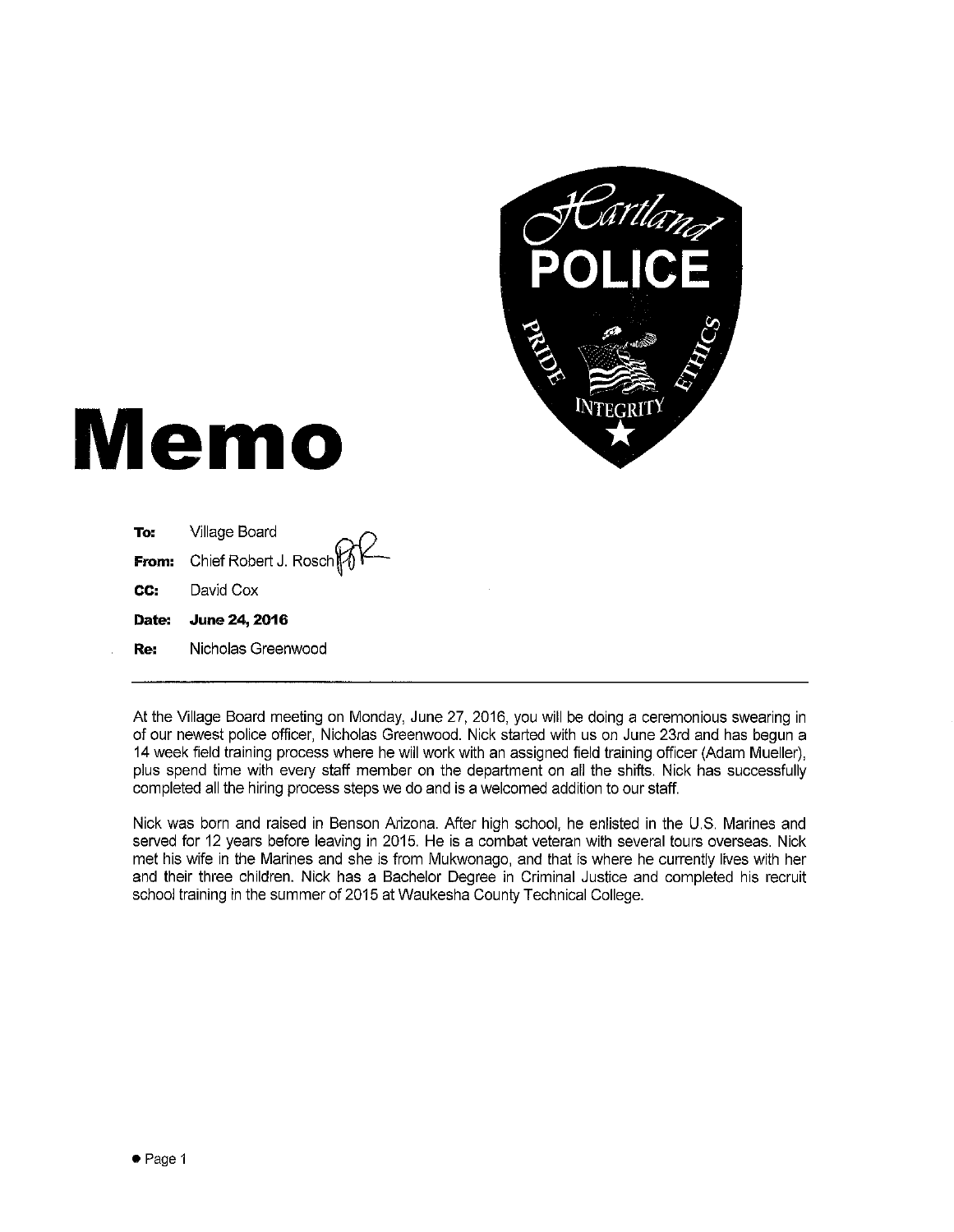

# **Memo**

| Re: | Nicholas Greenwood                               |
|-----|--------------------------------------------------|
|     | Date: June 24, 2016                              |
| CC: | David Cox                                        |
|     | <b>From:</b> Chief Robert J. Rosch $\mathcal{W}$ |
| To: | Village Board                                    |

At the Village Board meeting on Monday, June 27, 2016, you will be doing a ceremonious swearing in of our newest police officer, Nicholas Greenwood. Nick started with us on June 23rd and has begun a 14 week field training process where he will work with an assigned field training officer (Adam Mueller), plus spend time with every staff member on the department on all the shifts. Nick has successfully completed all the hiring process steps we do and is a welcomed addition to our staff.

Nick was born and raised in Benson Arizona. After high school, he enlisted in the U.S. Marines and served for 12 years before leaving in 2015. He is a combat veteran with several tours overseas. Nick met his wife in the Marines and she is from Mukwonago, and that is where he currently lives with her and their three children. Nick has a Bachelor Degree in Criminal Justice and completed his recruit school training in the summer of 2015 at Waukesha County Technical College.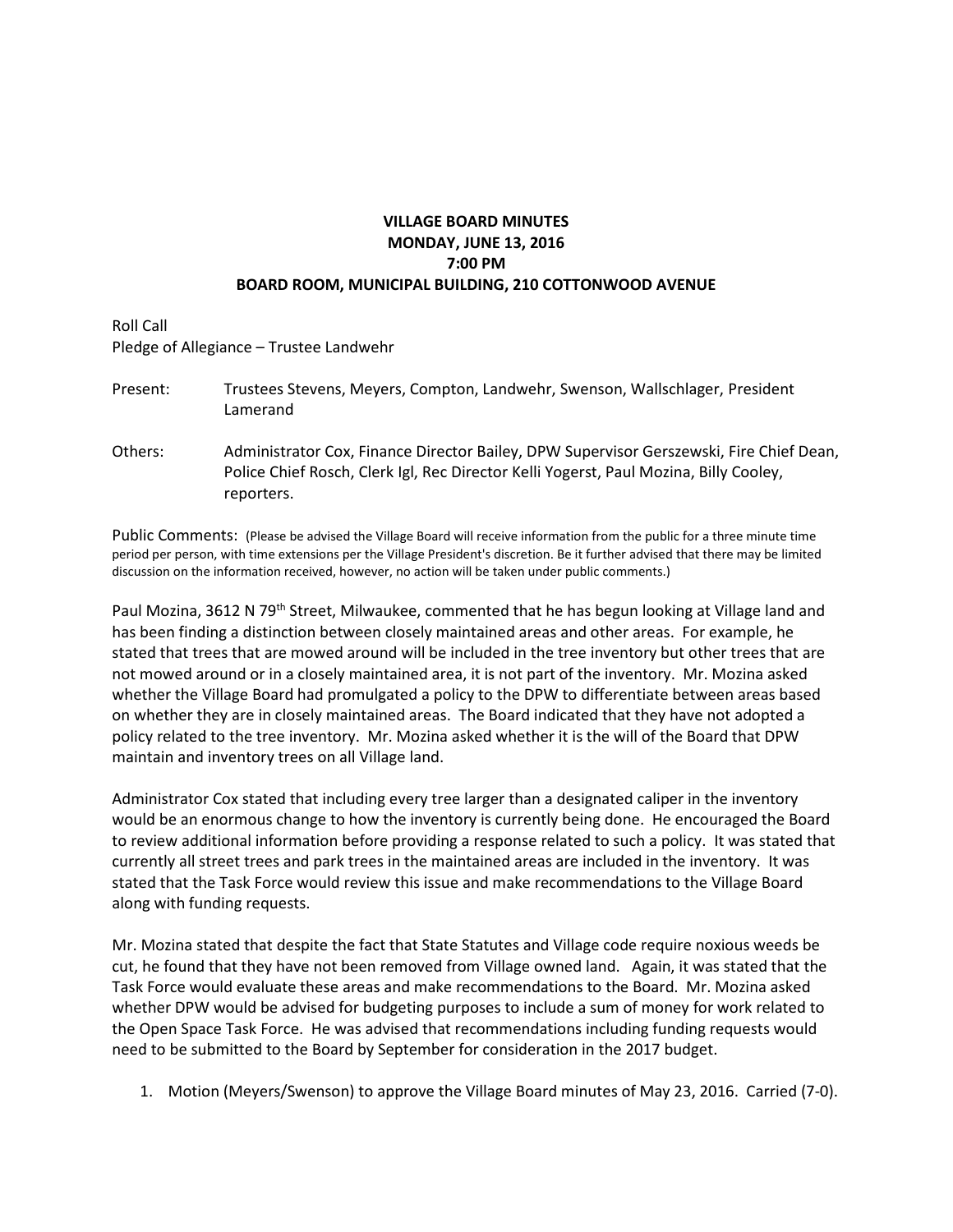## **VILLAGE BOARD MINUTES MONDAY, JUNE 13, 2016 7:00 PM BOARD ROOM, MUNICIPAL BUILDING, 210 COTTONWOOD AVENUE**

Roll Call Pledge of Allegiance – Trustee Landwehr

| Present: | Trustees Stevens, Meyers, Compton, Landwehr, Swenson, Wallschlager, President<br>Lamerand                                                                                                      |
|----------|------------------------------------------------------------------------------------------------------------------------------------------------------------------------------------------------|
| Others:  | Administrator Cox, Finance Director Bailey, DPW Supervisor Gerszewski, Fire Chief Dean,<br>Police Chief Rosch, Clerk Igl, Rec Director Kelli Yogerst, Paul Mozina, Billy Cooley,<br>reporters. |

Public Comments: (Please be advised the Village Board will receive information from the public for a three minute time period per person, with time extensions per the Village President's discretion. Be it further advised that there may be limited discussion on the information received, however, no action will be taken under public comments.)

Paul Mozina, 3612 N 79<sup>th</sup> Street, Milwaukee, commented that he has begun looking at Village land and has been finding a distinction between closely maintained areas and other areas. For example, he stated that trees that are mowed around will be included in the tree inventory but other trees that are not mowed around or in a closely maintained area, it is not part of the inventory. Mr. Mozina asked whether the Village Board had promulgated a policy to the DPW to differentiate between areas based on whether they are in closely maintained areas. The Board indicated that they have not adopted a policy related to the tree inventory. Mr. Mozina asked whether it is the will of the Board that DPW maintain and inventory trees on all Village land.

Administrator Cox stated that including every tree larger than a designated caliper in the inventory would be an enormous change to how the inventory is currently being done. He encouraged the Board to review additional information before providing a response related to such a policy. It was stated that currently all street trees and park trees in the maintained areas are included in the inventory. It was stated that the Task Force would review this issue and make recommendations to the Village Board along with funding requests.

Mr. Mozina stated that despite the fact that State Statutes and Village code require noxious weeds be cut, he found that they have not been removed from Village owned land. Again, it was stated that the Task Force would evaluate these areas and make recommendations to the Board. Mr. Mozina asked whether DPW would be advised for budgeting purposes to include a sum of money for work related to the Open Space Task Force. He was advised that recommendations including funding requests would need to be submitted to the Board by September for consideration in the 2017 budget.

1. Motion (Meyers/Swenson) to approve the Village Board minutes of May 23, 2016. Carried (7-0).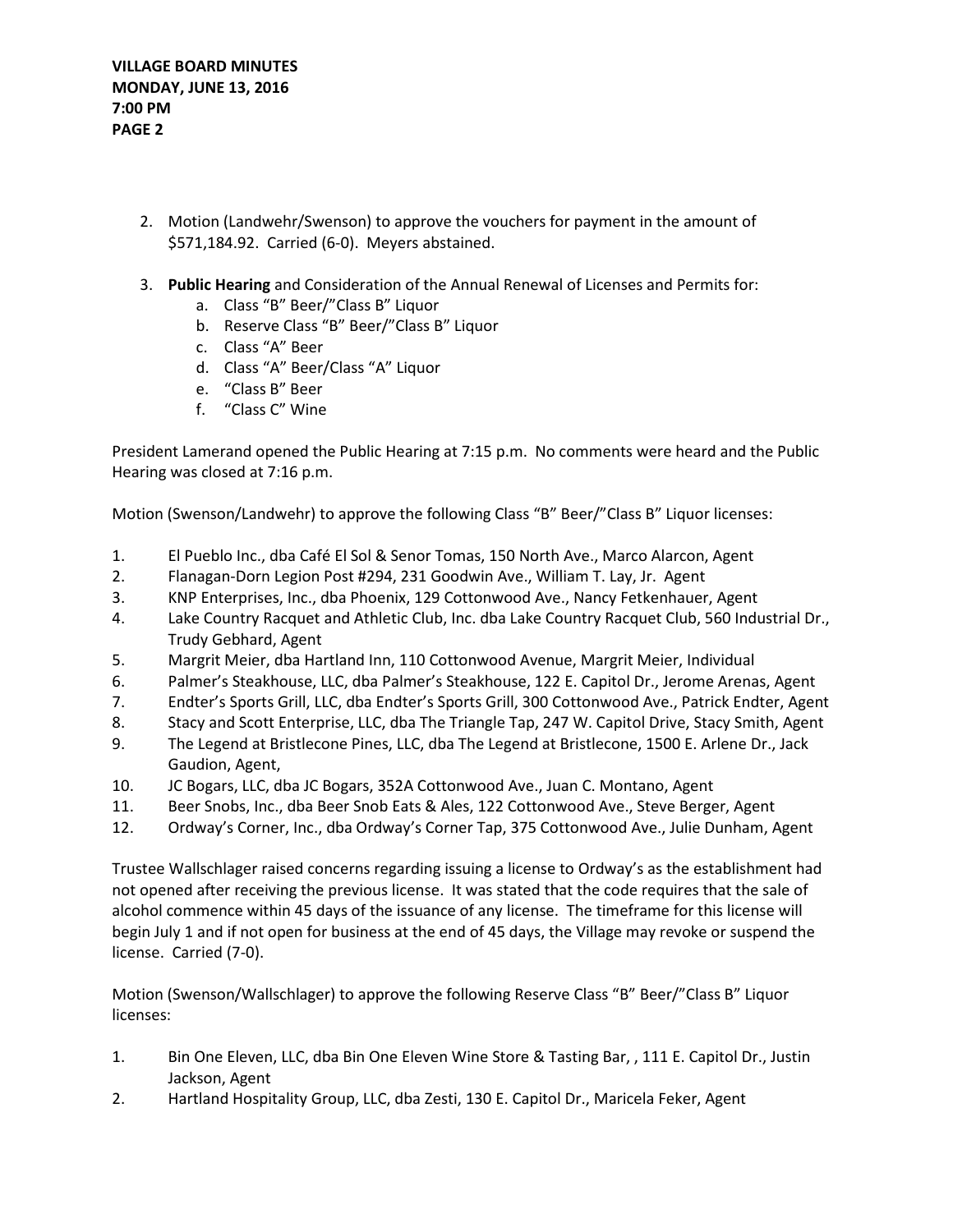- 2. Motion (Landwehr/Swenson) to approve the vouchers for payment in the amount of \$571,184.92. Carried (6-0). Meyers abstained.
- 3. **Public Hearing** and Consideration of the Annual Renewal of Licenses and Permits for:
	- a. Class "B" Beer/"Class B" Liquor
	- b. Reserve Class "B" Beer/"Class B" Liquor
	- c. Class "A" Beer
	- d. Class "A" Beer/Class "A" Liquor
	- e. "Class B" Beer
	- f. "Class C" Wine

President Lamerand opened the Public Hearing at 7:15 p.m. No comments were heard and the Public Hearing was closed at 7:16 p.m.

Motion (Swenson/Landwehr) to approve the following Class "B" Beer/"Class B" Liquor licenses:

- 1. El Pueblo Inc., dba Café El Sol & Senor Tomas, 150 North Ave., Marco Alarcon, Agent
- 2. Flanagan-Dorn Legion Post #294, 231 Goodwin Ave., William T. Lay, Jr. Agent
- 3. KNP Enterprises, Inc., dba Phoenix, 129 Cottonwood Ave., Nancy Fetkenhauer, Agent
- 4. Lake Country Racquet and Athletic Club, Inc. dba Lake Country Racquet Club, 560 Industrial Dr., Trudy Gebhard, Agent
- 5. Margrit Meier, dba Hartland Inn, 110 Cottonwood Avenue, Margrit Meier, Individual
- 6. Palmer's Steakhouse, LLC, dba Palmer's Steakhouse, 122 E. Capitol Dr., Jerome Arenas, Agent
- 7. Endter's Sports Grill, LLC, dba Endter's Sports Grill, 300 Cottonwood Ave., Patrick Endter, Agent
- 8. Stacy and Scott Enterprise, LLC, dba The Triangle Tap, 247 W. Capitol Drive, Stacy Smith, Agent
- 9. The Legend at Bristlecone Pines, LLC, dba The Legend at Bristlecone, 1500 E. Arlene Dr., Jack Gaudion, Agent,
- 10. JC Bogars, LLC, dba JC Bogars, 352A Cottonwood Ave., Juan C. Montano, Agent
- 11. Beer Snobs, Inc., dba Beer Snob Eats & Ales, 122 Cottonwood Ave., Steve Berger, Agent
- 12. Ordway's Corner, Inc., dba Ordway's Corner Tap, 375 Cottonwood Ave., Julie Dunham, Agent

Trustee Wallschlager raised concerns regarding issuing a license to Ordway's as the establishment had not opened after receiving the previous license. It was stated that the code requires that the sale of alcohol commence within 45 days of the issuance of any license. The timeframe for this license will begin July 1 and if not open for business at the end of 45 days, the Village may revoke or suspend the license. Carried (7-0).

Motion (Swenson/Wallschlager) to approve the following Reserve Class "B" Beer/"Class B" Liquor licenses:

- 1. Bin One Eleven, LLC, dba Bin One Eleven Wine Store & Tasting Bar, , 111 E. Capitol Dr., Justin Jackson, Agent
- 2. Hartland Hospitality Group, LLC, dba Zesti, 130 E. Capitol Dr., Maricela Feker, Agent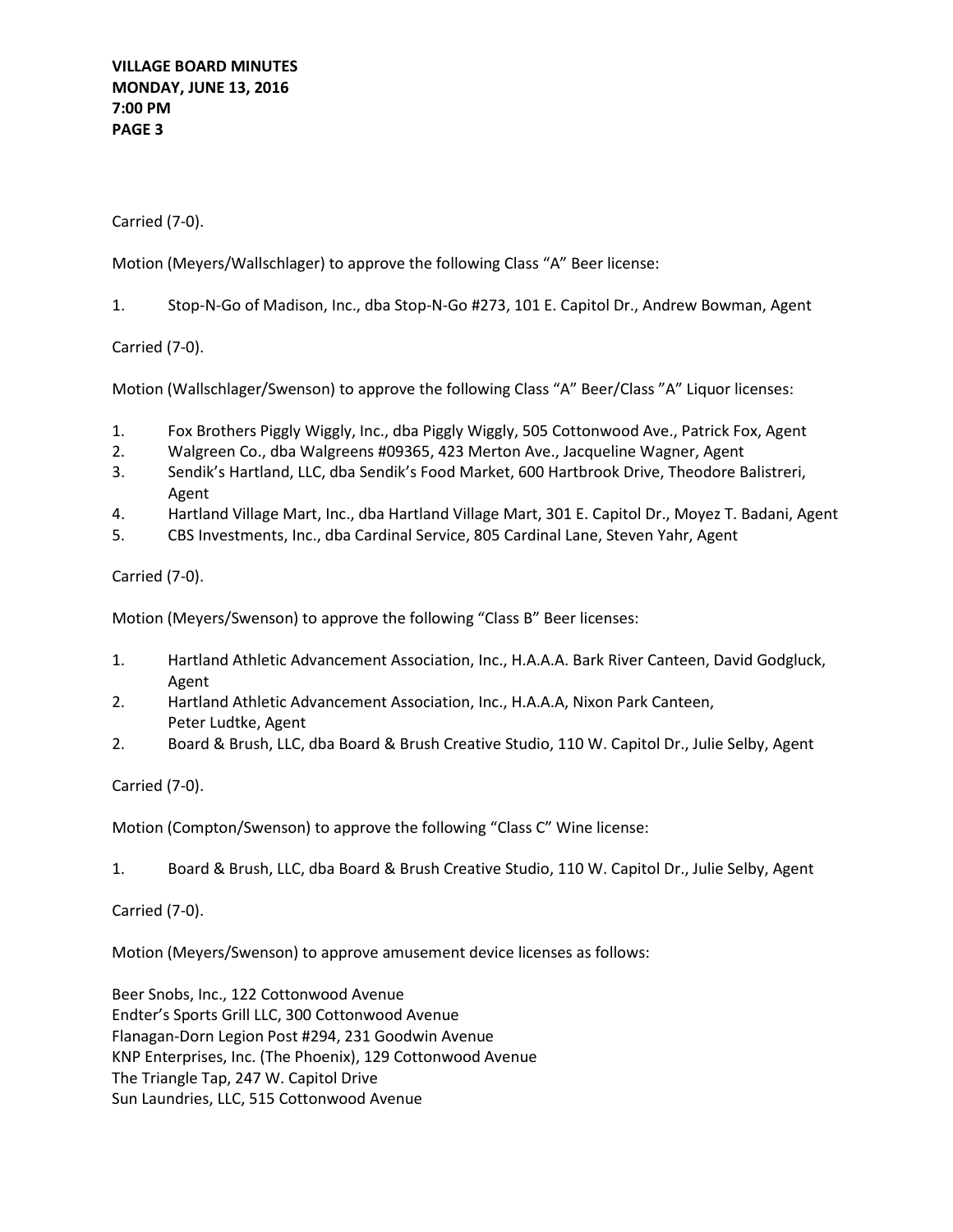**VILLAGE BOARD MINUTES MONDAY, JUNE 13, 2016 7:00 PM PAGE 3**

Carried (7-0).

Motion (Meyers/Wallschlager) to approve the following Class "A" Beer license:

1. Stop-N-Go of Madison, Inc., dba Stop-N-Go #273, 101 E. Capitol Dr., Andrew Bowman, Agent

Carried (7-0).

Motion (Wallschlager/Swenson) to approve the following Class "A" Beer/Class "A" Liquor licenses:

- 1. Fox Brothers Piggly Wiggly, Inc., dba Piggly Wiggly, 505 Cottonwood Ave., Patrick Fox, Agent
- 2. Walgreen Co., dba Walgreens #09365, 423 Merton Ave., Jacqueline Wagner, Agent
- 3. Sendik's Hartland, LLC, dba Sendik's Food Market, 600 Hartbrook Drive, Theodore Balistreri, Agent
- 4. Hartland Village Mart, Inc., dba Hartland Village Mart, 301 E. Capitol Dr., Moyez T. Badani, Agent
- 5. CBS Investments, Inc., dba Cardinal Service, 805 Cardinal Lane, Steven Yahr, Agent

Carried (7-0).

Motion (Meyers/Swenson) to approve the following "Class B" Beer licenses:

- 1. Hartland Athletic Advancement Association, Inc., H.A.A.A. Bark River Canteen, David Godgluck, Agent
- 2. Hartland Athletic Advancement Association, Inc., H.A.A.A, Nixon Park Canteen, Peter Ludtke, Agent
- 2. Board & Brush, LLC, dba Board & Brush Creative Studio, 110 W. Capitol Dr., Julie Selby, Agent

Carried (7-0).

Motion (Compton/Swenson) to approve the following "Class C" Wine license:

1. Board & Brush, LLC, dba Board & Brush Creative Studio, 110 W. Capitol Dr., Julie Selby, Agent

Carried (7-0).

Motion (Meyers/Swenson) to approve amusement device licenses as follows:

Beer Snobs, Inc., 122 Cottonwood Avenue Endter's Sports Grill LLC, 300 Cottonwood Avenue Flanagan-Dorn Legion Post #294, 231 Goodwin Avenue KNP Enterprises, Inc. (The Phoenix), 129 Cottonwood Avenue The Triangle Tap, 247 W. Capitol Drive Sun Laundries, LLC, 515 Cottonwood Avenue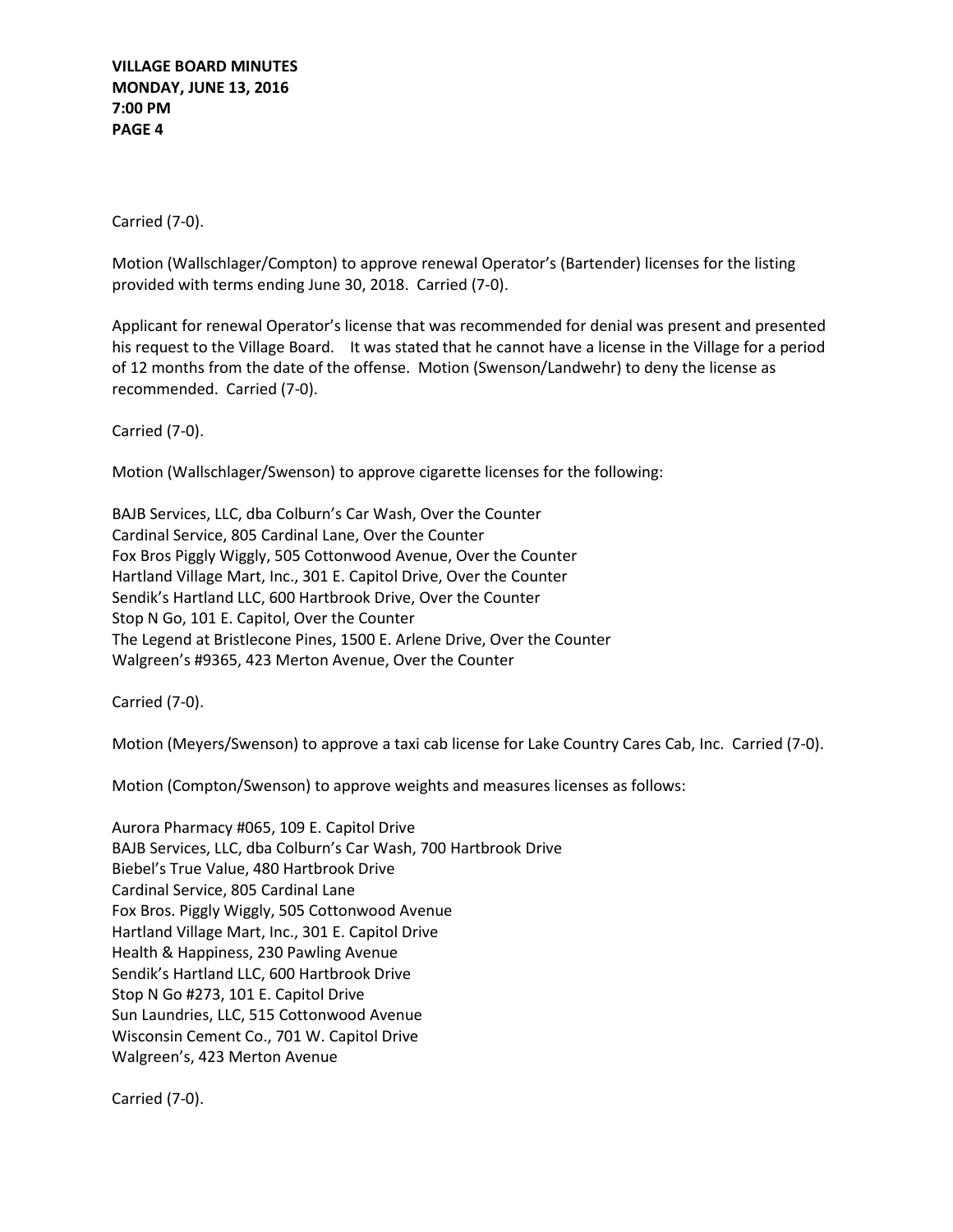**VILLAGE BOARD MINUTES MONDAY, JUNE 13, 2016 7:00 PM PAGE 4**

Carried (7-0).

Motion (Wallschlager/Compton) to approve renewal Operator's (Bartender) licenses for the listing provided with terms ending June 30, 2018. Carried (7-0).

Applicant for renewal Operator's license that was recommended for denial was present and presented his request to the Village Board. It was stated that he cannot have a license in the Village for a period of 12 months from the date of the offense. Motion (Swenson/Landwehr) to deny the license as recommended. Carried (7-0).

Carried (7-0).

Motion (Wallschlager/Swenson) to approve cigarette licenses for the following:

BAJB Services, LLC, dba Colburn's Car Wash, Over the Counter Cardinal Service, 805 Cardinal Lane, Over the Counter Fox Bros Piggly Wiggly, 505 Cottonwood Avenue, Over the Counter Hartland Village Mart, Inc., 301 E. Capitol Drive, Over the Counter Sendik's Hartland LLC, 600 Hartbrook Drive, Over the Counter Stop N Go, 101 E. Capitol, Over the Counter The Legend at Bristlecone Pines, 1500 E. Arlene Drive, Over the Counter Walgreen's #9365, 423 Merton Avenue, Over the Counter

Carried (7-0).

Motion (Meyers/Swenson) to approve a taxi cab license for Lake Country Cares Cab, Inc. Carried (7-0).

Motion (Compton/Swenson) to approve weights and measures licenses as follows:

Aurora Pharmacy #065, 109 E. Capitol Drive BAJB Services, LLC, dba Colburn's Car Wash, 700 Hartbrook Drive Biebel's True Value, 480 Hartbrook Drive Cardinal Service, 805 Cardinal Lane Fox Bros. Piggly Wiggly, 505 Cottonwood Avenue Hartland Village Mart, Inc., 301 E. Capitol Drive Health & Happiness, 230 Pawling Avenue Sendik's Hartland LLC, 600 Hartbrook Drive Stop N Go #273, 101 E. Capitol Drive Sun Laundries, LLC, 515 Cottonwood Avenue Wisconsin Cement Co., 701 W. Capitol Drive Walgreen's, 423 Merton Avenue

Carried (7-0).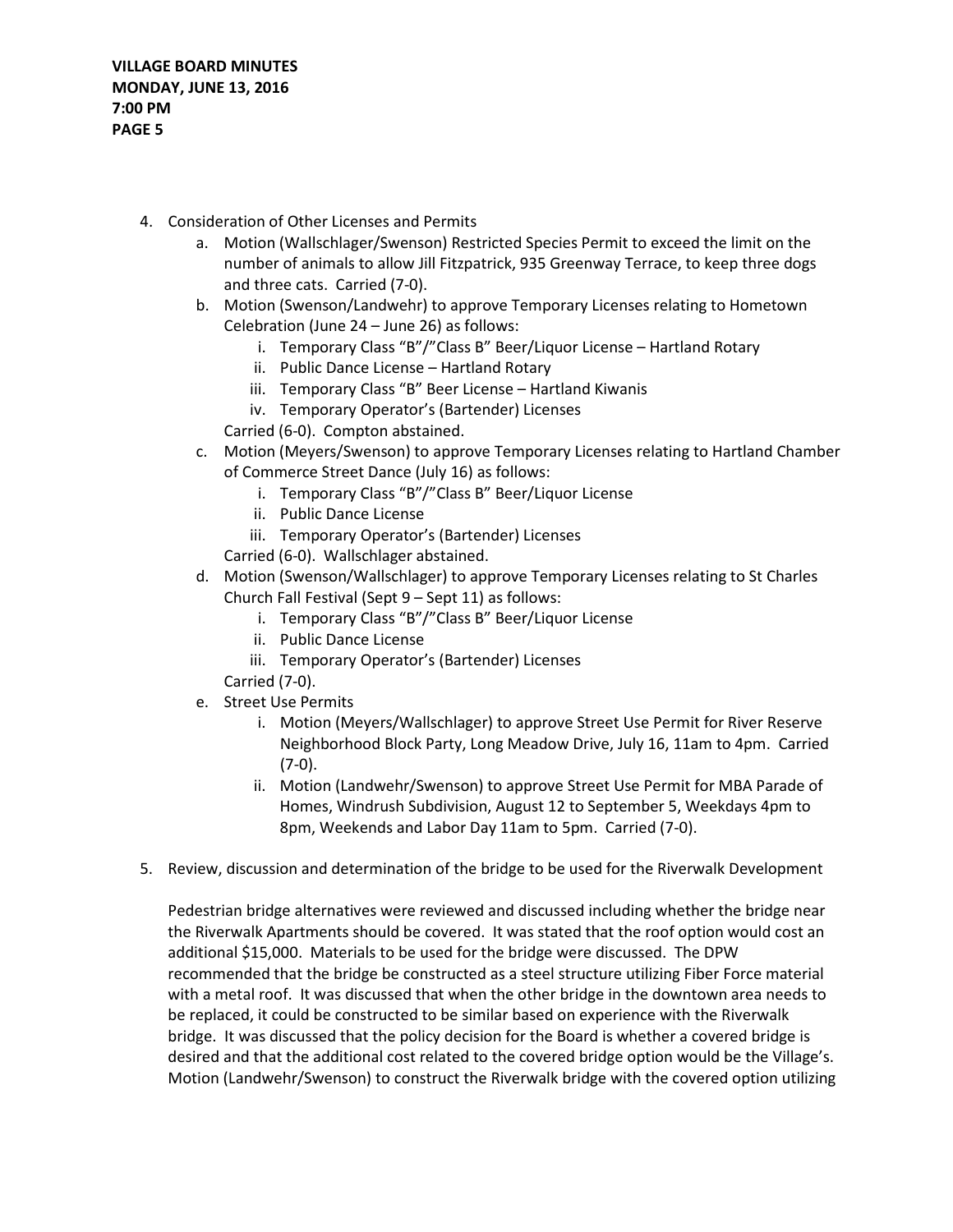- 4. Consideration of Other Licenses and Permits
	- a. Motion (Wallschlager/Swenson) Restricted Species Permit to exceed the limit on the number of animals to allow Jill Fitzpatrick, 935 Greenway Terrace, to keep three dogs and three cats. Carried (7-0).
	- b. Motion (Swenson/Landwehr) to approve Temporary Licenses relating to Hometown Celebration (June 24 – June 26) as follows:
		- i. Temporary Class "B"/"Class B" Beer/Liquor License Hartland Rotary
		- ii. Public Dance License Hartland Rotary
		- iii. Temporary Class "B" Beer License Hartland Kiwanis
		- iv. Temporary Operator's (Bartender) Licenses
		- Carried (6-0). Compton abstained.
	- c. Motion (Meyers/Swenson) to approve Temporary Licenses relating to Hartland Chamber of Commerce Street Dance (July 16) as follows:
		- i. Temporary Class "B"/"Class B" Beer/Liquor License
		- ii. Public Dance License
		- iii. Temporary Operator's (Bartender) Licenses
		- Carried (6-0). Wallschlager abstained.
	- d. Motion (Swenson/Wallschlager) to approve Temporary Licenses relating to St Charles Church Fall Festival (Sept 9 – Sept 11) as follows:
		- i. Temporary Class "B"/"Class B" Beer/Liquor License
		- ii. Public Dance License
		- iii. Temporary Operator's (Bartender) Licenses
		- Carried (7-0).
	- e. Street Use Permits
		- i. Motion (Meyers/Wallschlager) to approve Street Use Permit for River Reserve Neighborhood Block Party, Long Meadow Drive, July 16, 11am to 4pm. Carried (7-0).
		- ii. Motion (Landwehr/Swenson) to approve Street Use Permit for MBA Parade of Homes, Windrush Subdivision, August 12 to September 5, Weekdays 4pm to 8pm, Weekends and Labor Day 11am to 5pm. Carried (7-0).
- 5. Review, discussion and determination of the bridge to be used for the Riverwalk Development

Pedestrian bridge alternatives were reviewed and discussed including whether the bridge near the Riverwalk Apartments should be covered. It was stated that the roof option would cost an additional \$15,000. Materials to be used for the bridge were discussed. The DPW recommended that the bridge be constructed as a steel structure utilizing Fiber Force material with a metal roof. It was discussed that when the other bridge in the downtown area needs to be replaced, it could be constructed to be similar based on experience with the Riverwalk bridge. It was discussed that the policy decision for the Board is whether a covered bridge is desired and that the additional cost related to the covered bridge option would be the Village's. Motion (Landwehr/Swenson) to construct the Riverwalk bridge with the covered option utilizing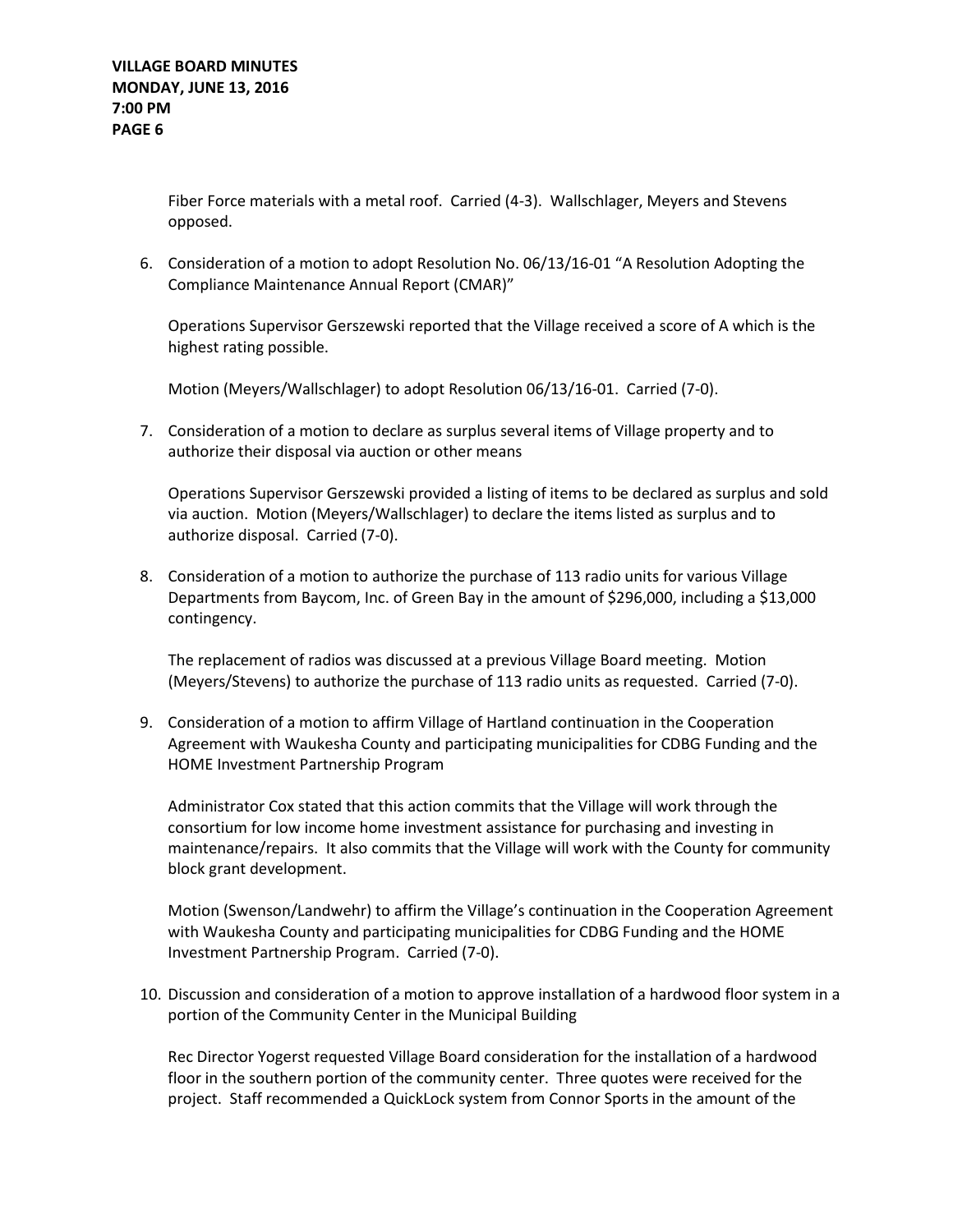Fiber Force materials with a metal roof. Carried (4-3). Wallschlager, Meyers and Stevens opposed.

6. Consideration of a motion to adopt Resolution No. 06/13/16-01 "A Resolution Adopting the Compliance Maintenance Annual Report (CMAR)"

Operations Supervisor Gerszewski reported that the Village received a score of A which is the highest rating possible.

Motion (Meyers/Wallschlager) to adopt Resolution 06/13/16-01. Carried (7-0).

7. Consideration of a motion to declare as surplus several items of Village property and to authorize their disposal via auction or other means

Operations Supervisor Gerszewski provided a listing of items to be declared as surplus and sold via auction. Motion (Meyers/Wallschlager) to declare the items listed as surplus and to authorize disposal. Carried (7-0).

8. Consideration of a motion to authorize the purchase of 113 radio units for various Village Departments from Baycom, Inc. of Green Bay in the amount of \$296,000, including a \$13,000 contingency.

The replacement of radios was discussed at a previous Village Board meeting. Motion (Meyers/Stevens) to authorize the purchase of 113 radio units as requested. Carried (7-0).

9. Consideration of a motion to affirm Village of Hartland continuation in the Cooperation Agreement with Waukesha County and participating municipalities for CDBG Funding and the HOME Investment Partnership Program

Administrator Cox stated that this action commits that the Village will work through the consortium for low income home investment assistance for purchasing and investing in maintenance/repairs. It also commits that the Village will work with the County for community block grant development.

Motion (Swenson/Landwehr) to affirm the Village's continuation in the Cooperation Agreement with Waukesha County and participating municipalities for CDBG Funding and the HOME Investment Partnership Program. Carried (7-0).

10. Discussion and consideration of a motion to approve installation of a hardwood floor system in a portion of the Community Center in the Municipal Building

Rec Director Yogerst requested Village Board consideration for the installation of a hardwood floor in the southern portion of the community center. Three quotes were received for the project. Staff recommended a QuickLock system from Connor Sports in the amount of the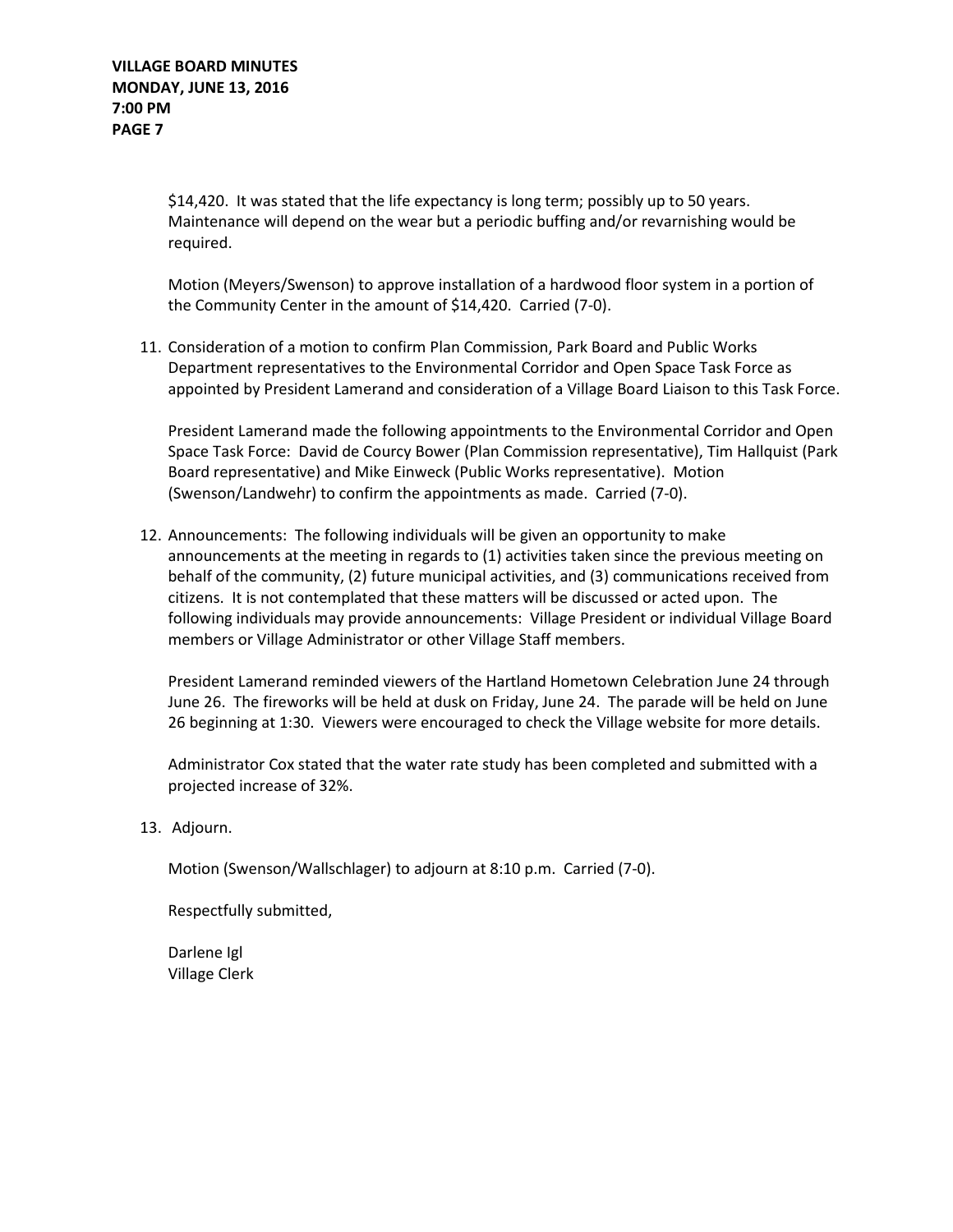\$14,420. It was stated that the life expectancy is long term; possibly up to 50 years. Maintenance will depend on the wear but a periodic buffing and/or revarnishing would be required.

Motion (Meyers/Swenson) to approve installation of a hardwood floor system in a portion of the Community Center in the amount of \$14,420. Carried (7-0).

11. Consideration of a motion to confirm Plan Commission, Park Board and Public Works Department representatives to the Environmental Corridor and Open Space Task Force as appointed by President Lamerand and consideration of a Village Board Liaison to this Task Force.

President Lamerand made the following appointments to the Environmental Corridor and Open Space Task Force: David de Courcy Bower (Plan Commission representative), Tim Hallquist (Park Board representative) and Mike Einweck (Public Works representative). Motion (Swenson/Landwehr) to confirm the appointments as made. Carried (7-0).

12. Announcements: The following individuals will be given an opportunity to make announcements at the meeting in regards to (1) activities taken since the previous meeting on behalf of the community, (2) future municipal activities, and (3) communications received from citizens. It is not contemplated that these matters will be discussed or acted upon. The following individuals may provide announcements: Village President or individual Village Board members or Village Administrator or other Village Staff members.

President Lamerand reminded viewers of the Hartland Hometown Celebration June 24 through June 26. The fireworks will be held at dusk on Friday, June 24. The parade will be held on June 26 beginning at 1:30. Viewers were encouraged to check the Village website for more details.

Administrator Cox stated that the water rate study has been completed and submitted with a projected increase of 32%.

13. Adjourn.

Motion (Swenson/Wallschlager) to adjourn at 8:10 p.m. Carried (7-0).

Respectfully submitted,

Darlene Igl Village Clerk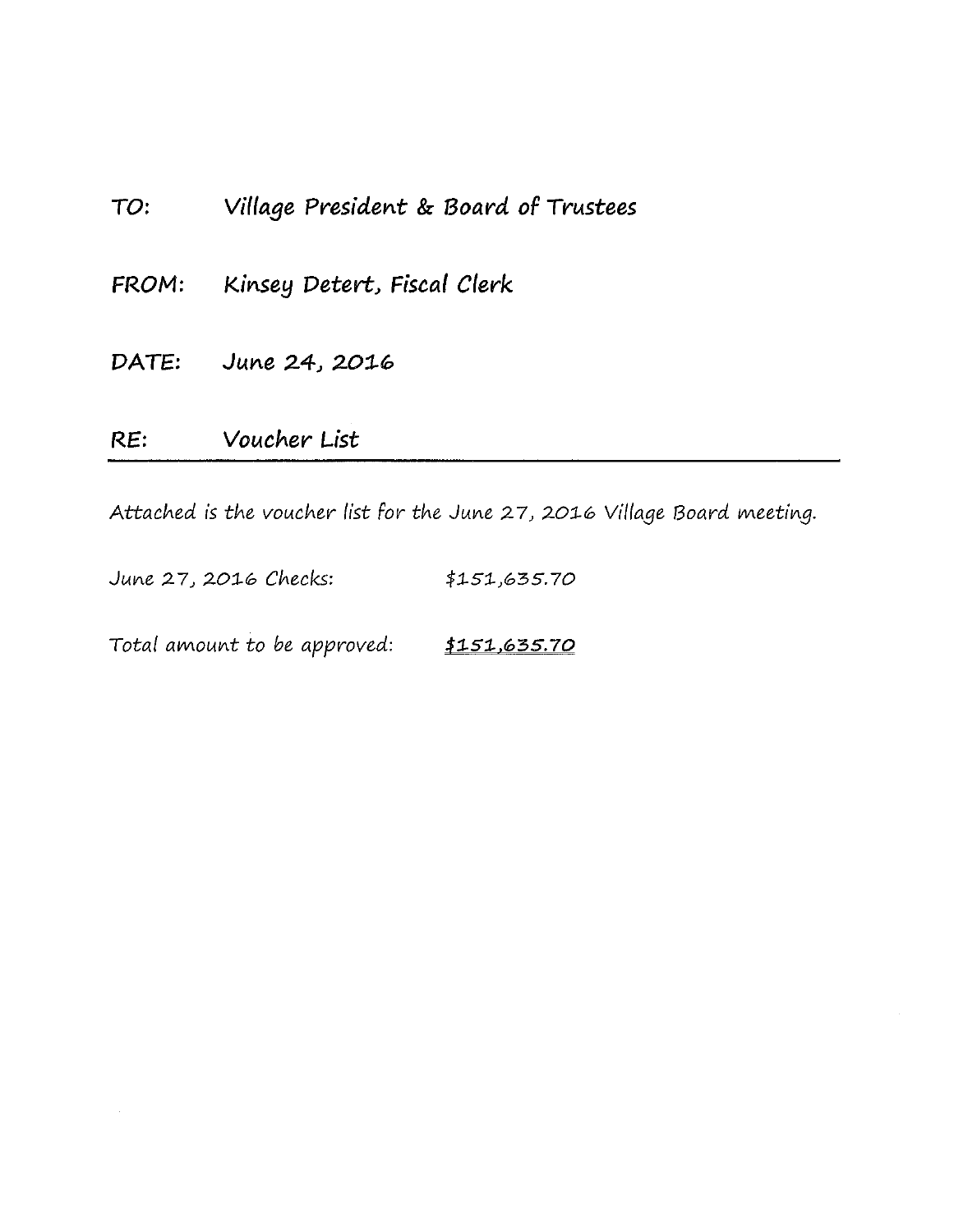| RE:   | Voucher List                          |
|-------|---------------------------------------|
|       | DATE: June 24, 2016                   |
| FROM: | Kinsey Detert, Fiscal Clerk           |
| TO:   | Village President & Board of Trustees |

Attached is the voucher list for the June 27, 2016 Village Board meeting.

June 27, 2016 Checks: \$151,635.70

Total amount to be approved: \$151,635.70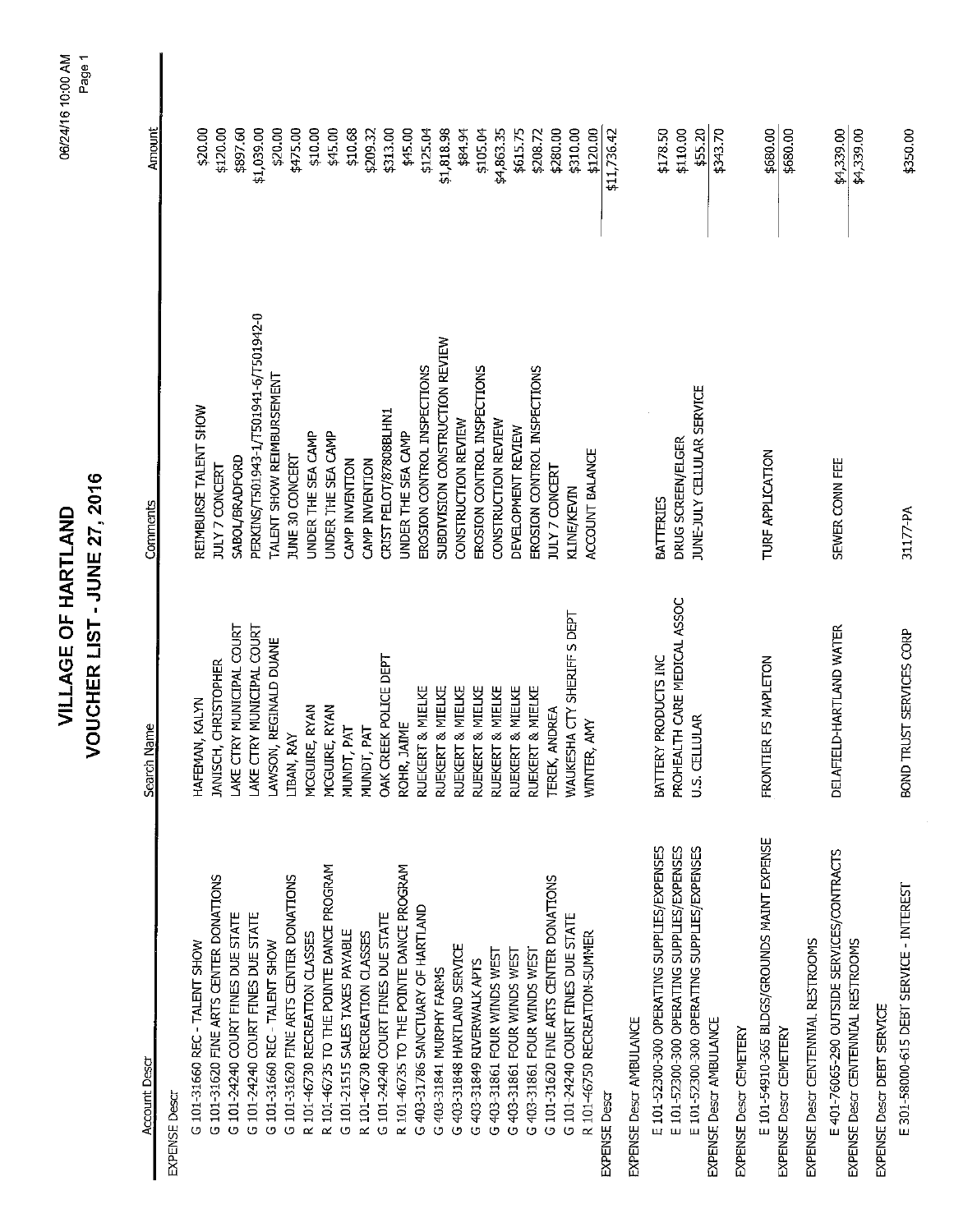| 2007<br>י<br>י<br>$\ddot{=}$<br>7<br>∏S<br>∣<br>í<br>יי<br>ז |
|--------------------------------------------------------------|
|                                                              |
|                                                              |

| 6/24/16 10:00 AM | Page |  |
|------------------|------|--|
|                  |      |  |
|                  |      |  |
|                  |      |  |

| <b>Account Descr</b>                        | Search Name                  | Comments                              | Amount      |
|---------------------------------------------|------------------------------|---------------------------------------|-------------|
| <b>EXPENSE Descr</b>                        |                              |                                       |             |
| G 101-31660 REC - TALENT SHOW               | HAFEMAN, KALYN               | REIMBURSE TALENT SHOW                 | \$20.00     |
| G 101-31620 FINE ARTS CENTER DONATIONS      | JANISCH, CHRISTOPHER         | JULY 7 CONCERT                        | \$120.00    |
| G 101-24240 COURT FINES DUE STATE           | LAKE CTRY MUNICIPAL COURT    | SABOL/BRADFORD                        | \$897.60    |
| G 101-24240 COURT FINES DUE STATE           | LAKE CTRY MUNICIPAL COURT    | PERKINS/T501943-1/T501941-6/T501942-0 | \$1,039.00  |
| G 101-31660 REC - TALENT SHOW               | AWSON, REGINALD DUANE        | TALENT SHOW REIMBURSEMENT             | \$20.00     |
| G 101-31620 FINE ARTS CENTER DONATIONS      | <b>LIBAN, RAY</b>            | <b>IUNE 30 CONCERT</b>                | \$475.00    |
| R 101-46730 RECREATION CLASSES              | MCGUIRE, RYAN                | UNDER THE SEA CAMP                    | \$10.00     |
| R 101-46735 TO THE POINTE DANCE PROGRAM     | MCGUIRE, RYAN                | UNDER THE SEA CAMP                    | \$45.00     |
| G 101-21515 SALES TAXES PAYABLE             | MUNDT, PAT                   | CAMP INVENTION                        | \$10.68     |
| R 101-46730 RECREATION CLASSES              | MUNDT, PAT                   | CAMP INVENTION                        | \$209.32    |
| G 101-24240 COURT FINES DUE STATE           | OAK CREEK POLICE DEPT        | CRIST PELOT/87808BLHN1                | \$313.00    |
| R 101-46735 TO THE POINTE DANCE PROGRAM     | ROHR, JAIME                  | JNDER THE SEA CAMP                    | \$45.00     |
| G 403-31786 SANCTUARY OF HARTLAND           | RUEKERT & MIELKE             | EROSION CONTROL INSPECTIONS           | \$125.04    |
| G 403-31841 MURPHY FARMS                    | RUEKERT & MIELKE             | SUBDIVISION CONSTRUCTION REVIEW       | \$1,818.98  |
| G 403-31848 HARTLAND SERVICE                | RUEKERT & MIELKE             | CONSTRUCTION REVIEW                   | \$84.94     |
| G 403-31849 RIVERWALK APTS                  | RUEKERT & MIELKE             | EROSION CONTROL INSPECTIONS           | \$105.04    |
| G 403-31861 FOUR WINDS WEST                 | RUEKERT & MIELKE             | CONSTRUCTION REVIEW                   | \$4,863.35  |
| G 403-31861 FOUR WINDS WEST                 | RUEKERT & MIELKE             | DEVELOPMENT REVIEW                    | \$615.75    |
| G 403-31861 FOUR WINDS WEST                 | RUEKERT & MIELKE             | EROSION CONTROL INSPECTIONS           | \$208.72    |
| G 101-31620 FINE ARTS CENTER DONATIONS      | TEREK, ANDREA                | <b>JULY 7 CONCERT</b>                 | \$280.00    |
| G 101-24240 COURT FINES DUE STATE           | WAUKESHA CTY SHERIFF S DEPT  | <b>KLINE/KEVIN</b>                    | \$310.00    |
| R 101-46750 RECREATION-SUMMER               | WINTER, AMY                  | ACCOUNT BALANCE                       | \$120.00    |
| <b>EXPENSE Descr</b>                        |                              |                                       | \$11,736.42 |
| EXPENSE Descr AMBULANCE                     |                              |                                       |             |
| E 101-52300-300 OPERATING SUPPLIES/EXPENSES | BATTERY PRODUCTS INC         | <b>BATTERIES</b>                      | \$178.50    |
| E 101-52300-300 OPERATING SUPPLIES/EXPENSES | PROHEALTH CARE MEDICAL ASSOC | DRUG SCREEN/ELGER                     | \$110.00    |
| E 101-52300-300 OPERATING SUPPLIES/EXPENSES | U.S. CELLULAR                | JUNE-JULY CELLULAR SERVICE            | \$55.20     |
| EXPENSE Descr AMBULANCE                     |                              |                                       | \$343.70    |
| EXPENSE Descr CEMETERY                      |                              |                                       |             |
| E 101-54910-365 BLDGS/GROUNDS MAINT EXPENSE | FRONTIER FS MAPLETON         | TURF APPLICATION                      | \$680.00    |
| EXPENSE Descr CEMETERY                      |                              |                                       | \$680.00    |
| EXPENSE Descr CENTENNIAL RESTROOMS          |                              |                                       |             |
| E 401-76065-290 OUTSIDE SERVICES/CONTRACTS  | DELAFIELD-HARTLAND WATER     | SEWER CONN FEE                        | \$4339.00   |
| EXPENSE Descr CENTENNIAL RESTROOMS          |                              |                                       | \$4,339.00  |
| EXPENSE Descr DEBT SERVICE                  |                              |                                       |             |
| E 301-58000-615 DEBT SERVICE - INTEREST     | BOND TRUST SERVICES CORP     | 31177-PA                              | \$350.00    |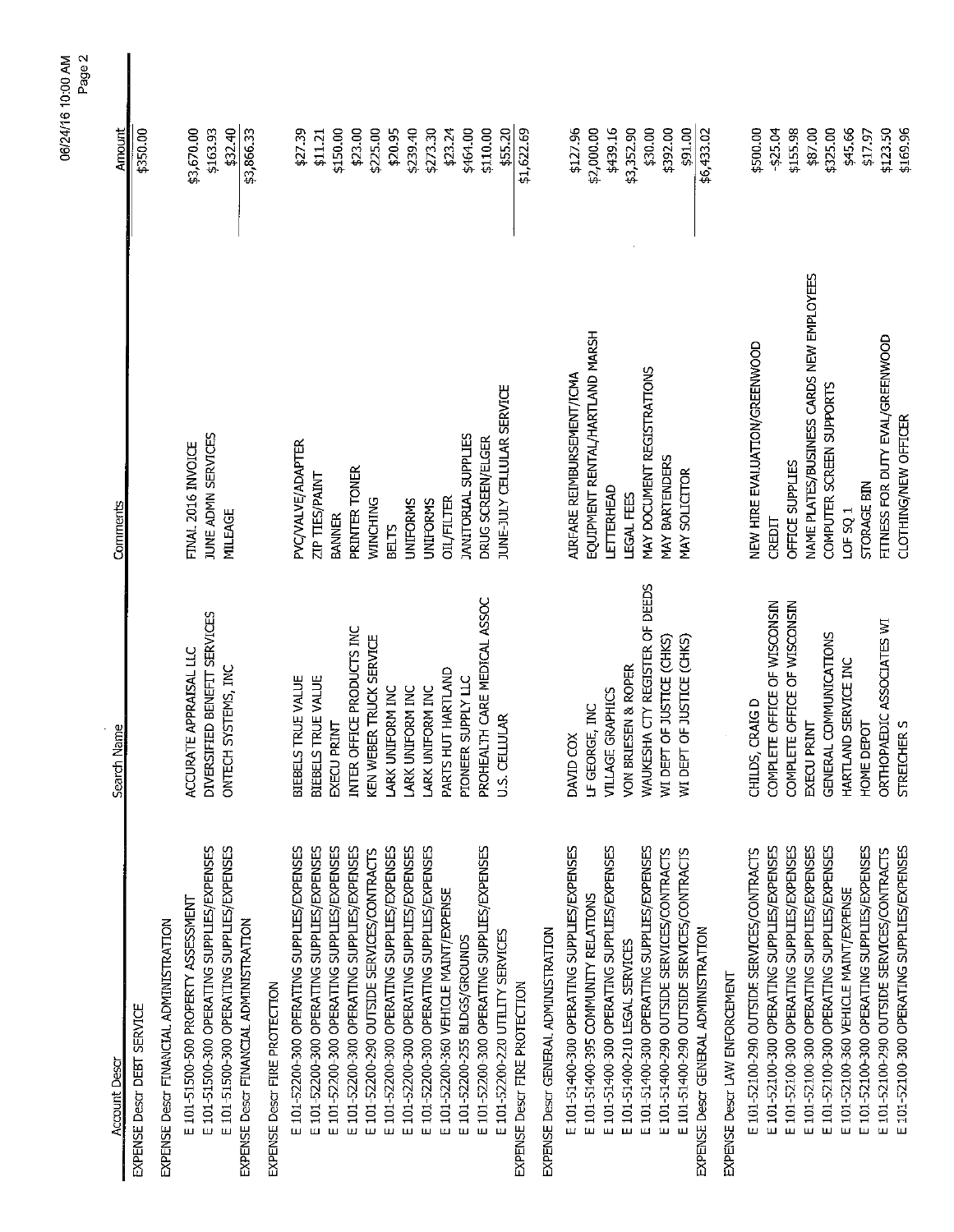|                                             |                                |                                          | z age z    |  |
|---------------------------------------------|--------------------------------|------------------------------------------|------------|--|
| <b>Account Descr</b>                        | Search Name                    | Comments                                 | Amount     |  |
| EXPENSE Descr DEBT SERVICE                  |                                |                                          | \$350.00   |  |
| EXPENSE Descr FINANCIAL ADMINISTRATION      |                                |                                          |            |  |
| E 101-51500-500 PROPERTY ASSESSMENT         | ACCURATE APPRAISAL LLC         | FINAL 2016 INVOICE                       | \$3,670.00 |  |
| E 101-51500-300 OPERATING SUPPLIES/EXPENSES | DIVERSIFIED BENEFIT SERVICES   | JUNE ADMN SERVICES                       | \$163.93   |  |
| E 101-51500-300 OPERATING SUPPLIES/EXPENSES | SYSTEMS, INC<br>ONTECH         | MILEAGE                                  | \$32.40    |  |
| EXPENSE Descr FINANCIAL ADMINISTRATION      |                                |                                          | \$3,866.33 |  |
| EXPENSE Descr FIRE PROTECTION               |                                |                                          |            |  |
| E 101-52200-300 OPERATING SUPPLIES/EXPENSES | TRUE VALUE<br><b>BIEBELS</b>   | PVC/VALVE/ADAPTER                        | \$2739     |  |
| E 101-52200-300 OPERATING SUPPLIES/EXPENSES | TRUE VALUE<br>BIEBELS          | <b>ZIP TIES/PAINT</b>                    | \$11.21    |  |
| E 101-52200-300 OPERATING SUPPLIES/EXPENSES | EXECU PRINT                    | <b>BANNER</b>                            | \$150.00   |  |
| E 101-52200-300 OPERATING SUPPLIES/EXPENSES | INTER OFFICE PRODUCTS INC      | PRINTER TONER                            | \$23.00    |  |
| E 101-52200-290 OUTSIDE SERVICES/CONTRACTS  | KEN WEBER TRUCK SERVICE        | <b>WINCHING</b>                          | \$225.00   |  |
| E 101-52200-300 OPERATING SUPPLIES/EXPENSES | LARK UNIFORM INC               | <b>BELTS</b>                             | \$20.95    |  |
| E 101-52200-300 OPERATING SUPPLIES/EXPENSES | LARK UNIFORM INC               | <b>UNIFORMS</b>                          | \$239.40   |  |
| E 101-52200-300 OPERATING SUPPLIES/EXPENSES | LARK UNIFORM INC               | <b>UNIFORMS</b>                          | \$273.30   |  |
| E 101-52200-360 VEHICLE MAINT/EXPENSE       | PARTS HUT HARTLAND             | <b>OIL/FILTER</b>                        | \$23.24    |  |
| E 101-52200-255 BLDGS/GROUNDS               | PIONEER SUPPLY LLC             | <b>JANITORIAL SUPPLIES</b>               | \$464.00   |  |
| E 101-52200-300 OPERATING SUPPLIES/EXPENSES | PROHEALTH CARE MEDICAL ASSOC   | DRUG SCREEN/ELGER                        | \$110.00   |  |
| E 101-52200-220 UTILITY SERVICES            | U.S. CELLULAR                  | JUNE-JULY CELLULAR SERVICE               | \$55.20    |  |
| EXPENSE Descr FIRE PROTECTION               |                                |                                          | \$1,622.69 |  |
| EXPENSE Descr GENERAL ADMINISTRATION        |                                |                                          |            |  |
| E 101-51400-300 OPERATING SUPPLIES/EXPENSES | DAVID COX                      | AIRFARE REIMBURSEMENT/ICMA               | \$127.96   |  |
| E 101-51400-395 COMMUNITY RELATIONS         | LF GEORGE, INC                 | EQUIPMENT RENTAL/HARTLAND MARSH          | \$2,000.00 |  |
| E 101-51400-300 OPERATING SUPPLIES/EXPENSES | <b>GRAPHICS</b><br>VILLAGE     | LETTERHEAD                               | \$439.16   |  |
| E 101-51400-210 LEGAL SERVICES              | VON BRIESEN & ROPER            | LEGAL FEES                               | \$3,352.90 |  |
| E 101-51400-300 OPERATING SUPPLIES/EXPENSES | WAUKESHA CTY REGISTER OF DEEDS | MAY DOCUMENT REGISTRATIONS               | \$30.00    |  |
| E 101-51400-290 OUTSIDE SERVICES/CONTRACTS  | WI DEPT OF JUSTICE (CHKS)      | MAY BARTENDERS                           | \$392.00   |  |
| E 101-51400-290 OUTSIDE SERVICES/CONTRACTS  | WI DEPT OF JUSTICE (CHKS)      | MAY SOLICITOR                            | \$91.00    |  |
| EXPENSE Descr GENERAL ADMINISTRATION        |                                |                                          | \$6,433.02 |  |
| EXPENSE Descr LAW ENFORCEMENT               |                                |                                          |            |  |
| E 101-52100-290 OUTSIDE SERVICES/CONTRACTS  | <b>CRAIGD</b><br>CHILDS,       | NEW HIRE EVALUATION/GREENWOOD            | \$500.00   |  |
| E 101-52100-300 OPERATING SUPPLIES/EXPENSES | COMPLETE OFFICE OF WISCONSIN   | CREDIT                                   | $-525.04$  |  |
| E 101-52100-300 OPERATING SUPPLIES/EXPENSES | COMPLETE OFFICE OF WISCONSIN   | OFFICE SUPPLIES                          | \$155.98   |  |
| E 101-52100-300 OPERATING SUPPLIES/EXPENSES | EXECU PRINT                    | NAME PLATES/BUSINESS CARDS NEW EMPLOYEES | \$87.00    |  |
| E 101-52100-300 OPERATING SUPPLIES/EXPENSES | GENERAL COMMUNICATIONS         | COMPUTER SCREEN SUPPORTS                 | \$325.00   |  |
| E 101-52100-360 VEHICLE MAINT/EXPENSE       | HARTLAND SERVICE INC           | LOF SQ 1                                 | \$45.66    |  |
| E 101-52100-300 OPERATING SUPPLIES/EXPENSES | HOME DEPOT                     | STORAGE BIN                              | \$17.97    |  |
| E 101-52100-290 OUTSIDE SERVICES/CONTRACTS  | ORTHOPAEDIC ASSOCIATES WI      | FITNESS FOR DUTY EVAL/GREENWOOD          | \$123.50   |  |
| E 101-52100-300 OPERATING SUPPLIES/EXPENSES | STREICHER S                    | <b>CLOTHING/NEW OFFICER</b>              | \$169.96   |  |

06/24/16 10:00 AM<br>Page 2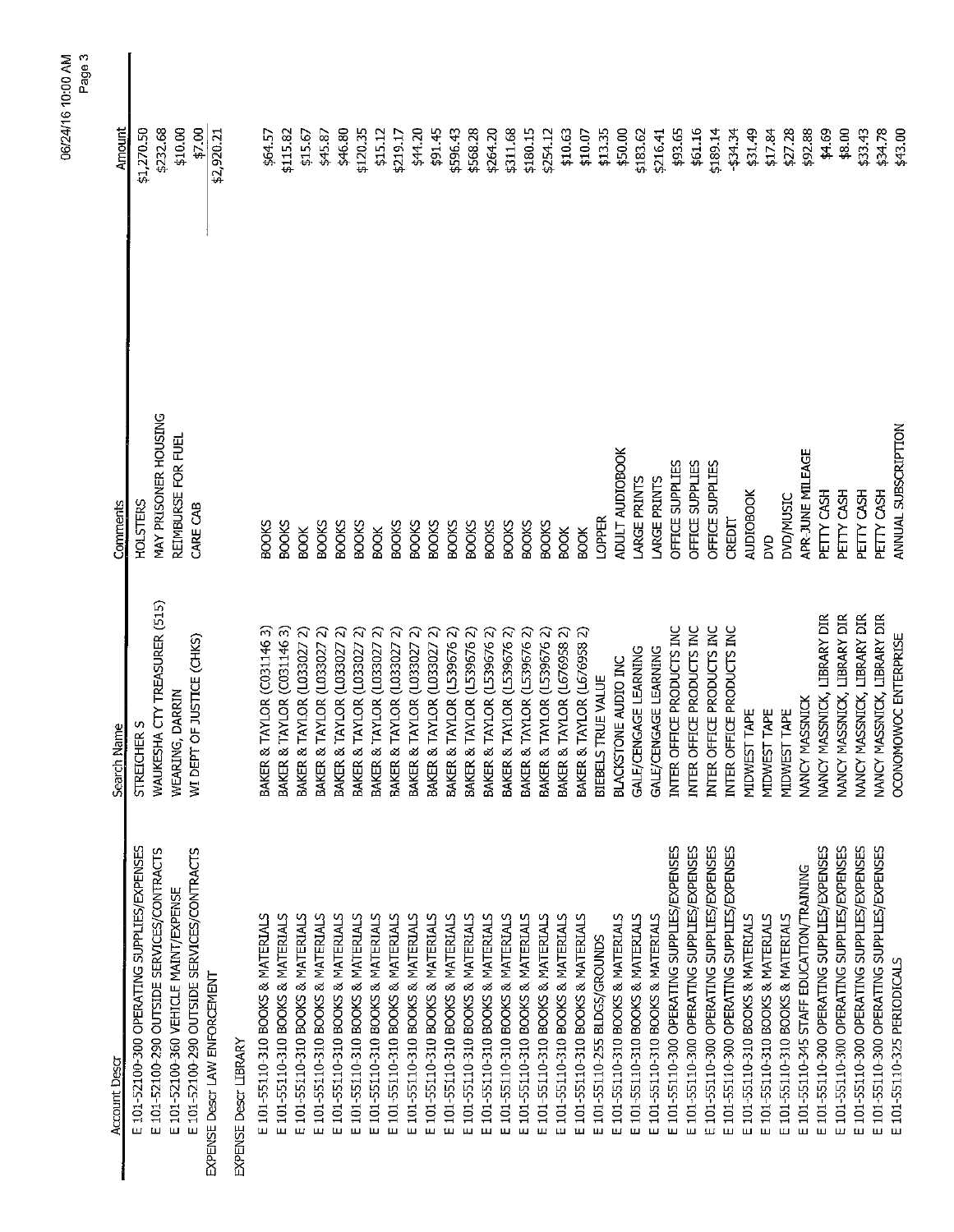|                                                |                                      |                      | Page 3<br>06/24/16 10:00 AM |
|------------------------------------------------|--------------------------------------|----------------------|-----------------------------|
| <b>Account Descr</b>                           | Search Name                          | Comments             | Amount                      |
| E 101-52100-300 OPERATING SUPPLIES/EXPENSES    | <b>STREICHER S</b>                   | <b>HOLSTERS</b>      | \$1,270.50                  |
| E 101-52100-290 OUTSIDE SERVICES/CONTRACTS     | WAUKESHA CTY TREASURER (515)         | MAY PRISONER HOUSING | \$232.68                    |
| E 101-52100-360 VEHICLE MAINT/EXPENSE          | WEARING, DARRIN                      | REIMBURSE FOR FUEL   | \$10.00                     |
| E 101-52100-290 OUTSIDE SERVICES/CONTRACTS     | WI DEPT OF JUSTICE (CHKS)            | CARE CAB             | \$7.00                      |
| EXPENSE Descr LAW ENFORCEMENT                  |                                      |                      | \$2,920.21                  |
| EXPENSE Descr LIBRARY                          |                                      |                      |                             |
| E 101-55110-310 BOOKS & MATERIALS              | BAKER & TAYLOR (C031.1463)           | <b>BOOKS</b>         | \$64.57                     |
| 101-55110-310 BOOKS & MATERIALS<br>Щ           | BAKER & TAYLOR (C0311463)            | <b>BOOKS</b>         | \$115.82                    |
| E 101-55110-310 BOOKS & MATERIALS              | [AYLOR (L033027 2)<br>BAKER & T      | <b>BOOK</b>          | \$15.67                     |
| 101-55110-310 BOOKS & MATERIALS<br>Щ           | AYLOR (L033027<br>BAKER & T          | <b>BOOKS</b>         | \$45.87                     |
| E 101-55110-310 BOOKS & MATERIALS              | [AYLOR (L033027 2)<br>BAKER & T      | <b>BOOKS</b>         | \$46.80                     |
| 101-55110-310 BOOKS & MATERIALS<br>ш           | [AYLOR (L033027 2)<br>BAKER & T      | <b>BOOKS</b>         | \$120.35                    |
| 101-55110-310 BOOKS & MATERIALS<br>ш           | ଲ<br>AYLOR (L033027<br>BAKER & T     | <b>BOOK</b>          | \$15.12                     |
| E 101-55110-310 BOOKS & MATERIALS              | ন<br>[AYLOR (L033027<br>BAKER &      | <b>BOOKS</b>         | \$219.17                    |
| E 101-55110-310 BOOKS & MATERIALS              | ର<br>[AYLOR (L033027<br>BAKER &      | <b>BOOKS</b>         | \$44.20                     |
| 101-55110-310 BOOKS & MATERIALS<br>Щ           | <b>AYLOR (L0330272)</b><br>BAKER & T | <b>BOOKS</b>         | \$91.45                     |
| 101-55110-310 BOOKS & MATERIALS<br>Щ           | [AYLOR (L5396762)<br>BAKER & T       | <b>BOOKS</b>         | \$596.43                    |
| 101-55110-310 BOOKS & MATERIALS<br>Щ           | [AYLOR (L539676 2)<br>BAKER &        | <b>BOOKS</b>         | \$568.28                    |
| 101-55110-310 BOOKS & MATERIALS<br>Щ           | BAKER & TAYLOR (L5396762)            | <b>BOOKS</b>         | \$264.20                    |
| 101-55110-310 BOOKS & MATERIALS<br>Щ           | FAYLOR (L5396762)<br>BAKER & T       | <b>BOOKS</b>         | \$311.68                    |
| 101-55110-310 BOOKS & MATERIALS<br>ш           | [AYLOR (L539676 2)<br>BAKER & T      | <b>BOOKS</b>         | \$180.15                    |
| 101-55110-310 BOOKS & MATERIALS<br>ш           | <b>AYLOR (L5396762)</b><br>BAKER & T | <b>BOOKS</b>         | \$254.12                    |
| 101-55110-310 BOOKS & MATERIALS<br>ш           | BAKER & TAYLOR (L676958 2)           | <b>BOOK</b>          | \$10.63                     |
| 101-55110-310 BOOKS & MATERIALS<br>ш           | BAKER & TAYLOR (L676958 2)           | <b>BOOK</b>          | \$10.07                     |
| 101-55110-255 BLDGS/GROUNDS<br>ш               | BIEBELS TRUE VALUE                   | LOPPER               | \$13.35                     |
| 101-55110-310 BOOKS & MATERIALS<br>ш           | BLACKSTONE AUDIO INC                 | ADULT AUDIOBOOK      | \$50.00                     |
| 101-55110-310 BOOKS & MATERIALS<br>ш           | GALE/CENGAGE LEARNING                | LARGE PRINTS         | \$183.62                    |
| 101-55110-310 BOOKS & MATERIALS<br>ш           | GALE/CENGAGE LEARNING                | LARGE PRINTS         | \$216.41                    |
| 101-55110-300 OPERATING SUPPLIES/EXPENSES<br>ш | INTER OFFICE PRODUCTS INC            | OFFICE SUPPLIES      | \$93.65                     |
| 101-55110-300 OPERATING SUPPLIES/EXPENSES<br>ш | INTER OFFICE PRODUCTS INC            | OFFICE SUPPLIES      | \$61.16                     |
| 101-55110-300 OPERATING SUPPLIES/EXPENSES<br>ш | INTER OFFICE PRODUCTS INC            | OFFICE SUPPLIES      | \$189.14                    |
| 101-55110-300 OPERATING SUPPLIES/EXPENSES<br>ш | INTER OFFICE PRODUCTS INC            | CREDIT               | \$34.34                     |
| 101-55110-310 BOOKS & MATERIALS<br>Ш           | MIDWEST TAPE                         | <b>AUDIOBOOK</b>     | \$31.49                     |
| 101-55110-310 BOOKS & MATERIALS<br>ш           | MIDWEST TAPE                         | <b>S</b>             | \$17.84                     |
| 101-55110-310 BOOKS & MATERIALS<br>ш           | MIDWEST TAPE                         | DVD/MUSIC            | \$27.28                     |
| 101-55110-345 STAFF EDUCATION/TRAINING<br>ш    | NANCY MASSNICK                       | APR-JUNE MILEAGE     | \$92.88                     |
| 101-55110-300 OPERATING SUPPLIES/EXPENSES<br>ш | NANCY MASSNICK, LIBRARY DIR          | PETTY CASH           | \$4.69                      |
| 101-55110-300 OPERATING SUPPLIES/EXPENSES<br>ш | NANCY MASSNICK, LIBRARY DIR          | PETTY CASH           | \$8.00                      |
| 101-55110-300 OPERATING SUPPLIES/EXPENSES      | NANCY MASSNICK, LIBRARY DIR          | PETTY CASH           | \$33.43                     |
| 101-55110-300 OPERATING SUPPLIES/EXPENSES<br>ш | NANCY MASSNICK, LIBRARY DIR          | PETTY CASH           | \$34.78                     |
| 101-55110-325 PERIODICALS<br>Ш                 | OCONOMOWOC ENTERPRISE                | ANNUAL SUBSCRIPTION  | \$43.00                     |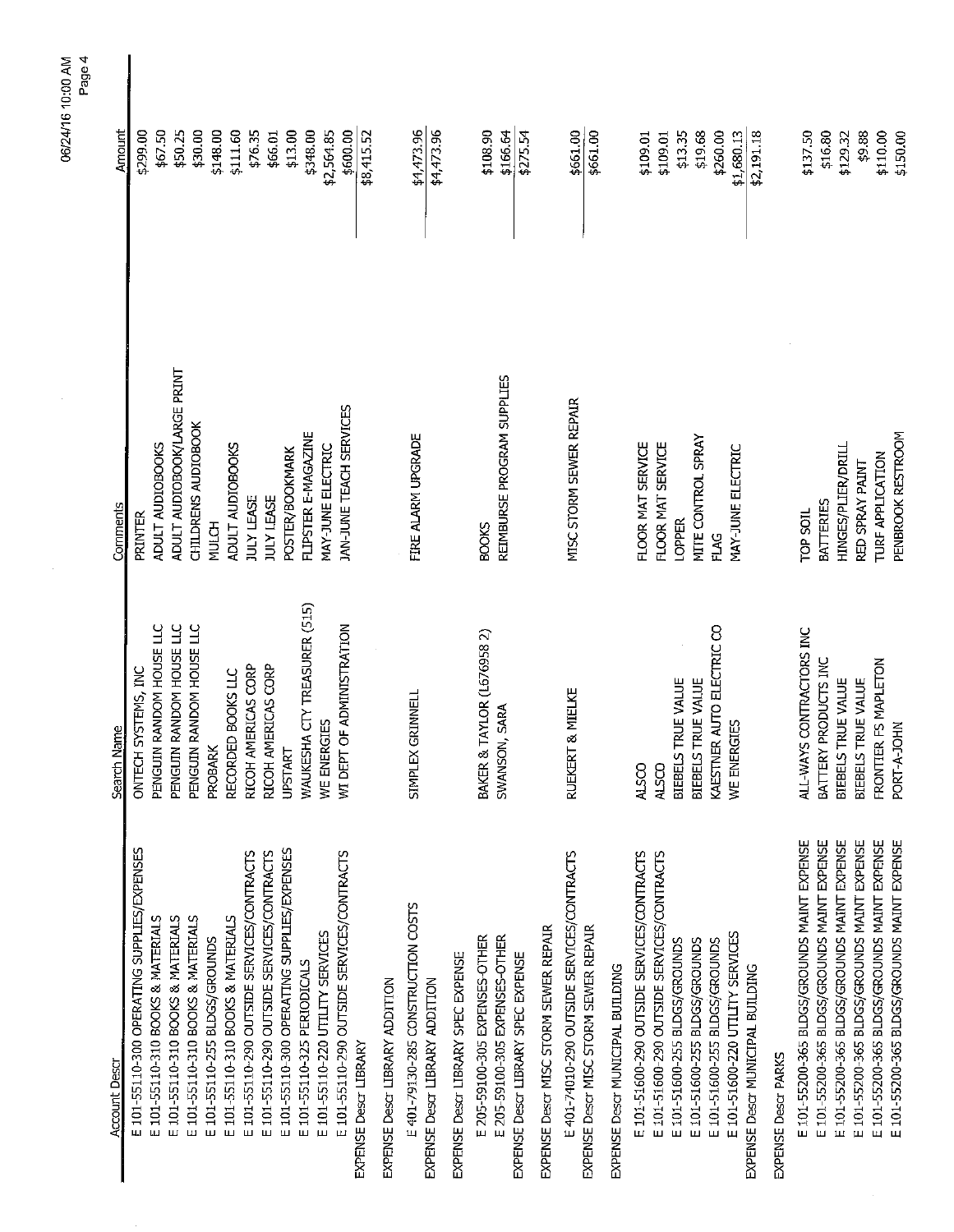| <b>Account Descr</b>                                                | Search Name                  | Comments                    | Amount                 |
|---------------------------------------------------------------------|------------------------------|-----------------------------|------------------------|
| E 101-55110-300 OPERATING SUPPLIES/EXPENSES                         | SYSTEMS, INC<br>ONTECH       | PRINTER                     | \$299.00               |
| E 101-55110-310 BOOKS & MATERIALS                                   | PENGUIN RANDOM HOUSE LLC     | ADULT AUDIOBOOKS            | \$67.50                |
| E 101-55110-310 BOOKS & MATERIALS                                   | PENGUIN RANDOM HOUSE LLC     | ADULT AUDIOBOOK/LARGE PRINT | \$50.25                |
| E 101-55110-310 BOOKS & MATERIALS                                   | PENGUIN RANDOM HOUSE LLC     | CHILDRENS AUDIOBOOK         | \$30.00                |
| E 101-55110-255 BLDGS/GROUNDS                                       | PROBARK                      | <b>MULCH</b>                | \$148.00               |
| E 101-55110-310 BOOKS & MATERIALS                                   | RECORDED BOOKS LLC           | ADULT AUDIOBOOKS            | \$111.60               |
| E 101-55110-290 OUTSIDE SERVICES/CONTRACTS                          | RICOH AMERICAS CORP          | <b>JULY LEASE</b>           | \$16.35                |
| E 101-55110-290 OUTSIDE SERVICES/CONTRACTS                          | RICOH AMERICAS CORP          | <b>JULY LEASE</b>           | \$66.01                |
| E 101-55110-300 OPERATING SUPPLIES/EXPENSES                         | <b>UPSTART</b>               | <b>POSTER/BOOKMARK</b>      | \$13.00                |
| E 101-55110-325 PERIODICALS                                         | WAUKESHA CTY TREASURER (515) | FLIPSTER E-MAGAZINE         | \$348.00               |
| E 101-55110-220 UTILITY SERVICES                                    | WE ENERGIES                  | <b>MAY-JUNE ELECTRIC</b>    | \$2,564.85             |
| E 101-55110-290 OUTSIDE SERVICES/CONTRACTS<br>EXPENSE Descr LIBRARY | WI DEPT OF ADMINISTRATION    | JAN-JUNE TEACH SERVICES     | \$600.00<br>\$8,415.52 |
| EXPENSE Descr LIBRARY ADDITION                                      |                              |                             |                        |
| E 401-79130-285 CONSTRUCTION COSTS                                  | GRINNELL<br><b>SIMPLEX</b>   | FIRE ALARM UPGRADE          | \$4,473.96             |
| EXPENSE Descr LIBRARY ADDITION                                      |                              |                             | \$4,473.96             |
| EXPENSE Descr LIBRARY SPEC EXPENSE                                  |                              |                             |                        |
| E 205-59100-305 EXPENSES-OTHER                                      | BAKER & TAYLOR (L676958 2)   | <b>BOOKS</b>                | \$108.90               |
| E 205-59100-305 EXPENSES-OTHER                                      | SWANSON, SARA                | REIMBURSE PROGRAM SUPPLIES  | \$166.64               |
| EXPENSE Descr LIBRARY SPEC EXPENSE                                  |                              |                             | \$275.54               |
| EXPENSE Descr MISC STORM SEWER REPAIR                               |                              |                             |                        |
| E 401-74010-290 OUTSIDE SERVICES/CONTRACTS                          | RUEKERT & MIELKE             | MISC STORM SEWER REPAIR     | \$661.00               |
| EXPENSE Descr MISC STORM SEWER REPAIR                               |                              |                             | \$661.00               |
| EXPENSE Descr MUNICIPAL BUTLDING                                    |                              |                             |                        |
| E 101-51600-290 OUTSIDE SERVICES/CONTRACTS                          | <b>ALSCO</b>                 | FLOOR MAT SERVICE           |                        |
| E 101-51600-290 OUTSIDE SERVICES/CONTRACTS                          | <b>ALSCO</b>                 |                             | \$109.01               |
| E 101-51600-255 BLDGS/GROUNDS                                       |                              | FLOOR MAT SERVICE           | \$109.01               |
|                                                                     | BIEBELS TRUE VALUE           | <b>LOPPER</b>               | \$13.35                |
| E 101-51600-255 BLDGS/GROUNDS                                       | BIEBELS TRUE VALUE           | MITE CONTROL SPRAY          | \$19.68                |
| E 101-51600-255 BLDGS/GROUNDS                                       | KAESTNER AUTO ELECTRIC CO    | FLAG                        | \$260.00               |
| E 101-51600-220 UTILITY SERVICES                                    | WE ENERGIES                  | MAY-JUNE ELECTRIC           | \$1,680.13             |
| EXPENSE Descr MUNICIPAL BUILDING                                    |                              |                             | \$2,191.18             |
| EXPENSE Descr PARKS                                                 |                              |                             |                        |
| E 101-55200-365 BLDGS/GROUNDS MAINT EXPENSE                         | ALL-WAYS CONTRACTORS INC     | <b>TOP SOIL</b>             | \$137.50               |
| E 101-55200-365 BLDGS/GROUNDS MAINT EXPENSE                         | BATTERY PRODUCTS INC         | <b>BATTERIES</b>            | \$16.80                |
| E 101-55200-365 BLDGS/GROUNDS MAINT EXPENSE                         | BIEBELS TRUE VALUE           | HINGES/PLIER/DRILL          | \$129.32               |
| E 101-55200-365 BLDGS/GROUNDS MAINT EXPENSE                         | BIEBELS TRUE VALUE           | RED SPRAY PAINT             | \$9.88                 |
| E 101-55200-365 BLDGS/GROUNDS MAINT EXPENSE                         | FRONTIER FS MAPLETON         | <b>TURF APPLICATION</b>     | \$110.00               |
| E 101-55200-365 BLDGS/GROUNDS MAINT EXPENSE                         | PORT-A-JOHN                  | PENBROOK RESTROOM           | \$150.00               |

06/24/16 10:00 AM<br>Page 4

Ŷ,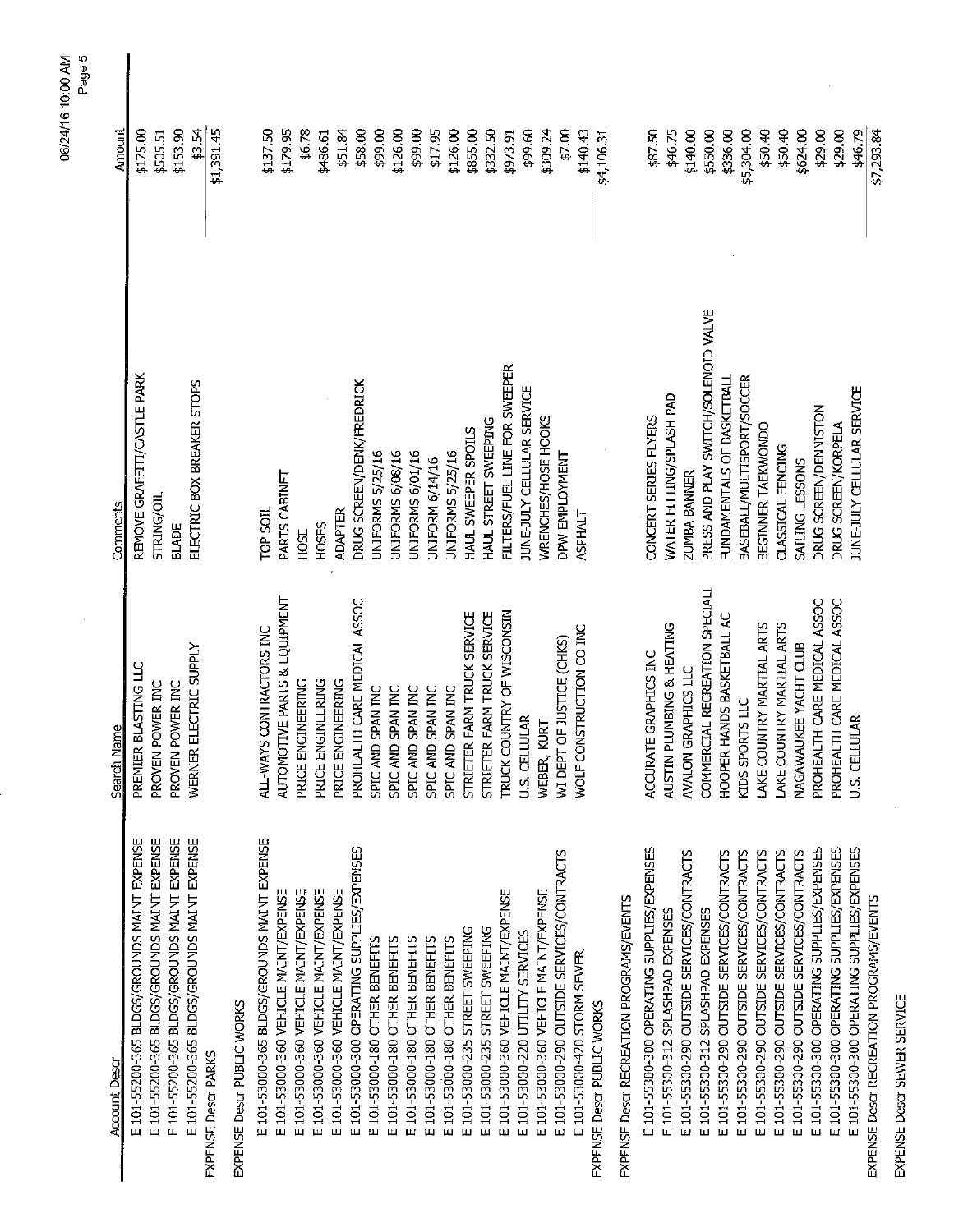| <b>Account Descr</b>                        | Search Name                    | Comments                             | Amount     |
|---------------------------------------------|--------------------------------|--------------------------------------|------------|
| E 101-55200-365 BLDGS/GROUNDS MAINT EXPENSE | PREMIER BLASTING LLC           | REMOVE GRAFFITI/CASTLE PARK          | \$175.00   |
| E 101-55200-365 BLDGS/GROUNDS MAINT EXPENSE | PROVEN POWER INC               | STRING/OIL                           | \$505.51   |
| E 101-55200-365 BLDGS/GROUNDS MAINT EXPENSE | PROVEN POWER INC               | <b>BLADE</b>                         | \$153.90   |
| E 101-55200-365 BLDGS/GROUNDS MAINT EXPENSE | WERNER ELECTRIC SUPPLY         | ELECTRIC BOX BREAKER STOPS           | \$3.54     |
| <b>EXPENSE Descr PARKS</b>                  |                                |                                      | \$1,391.45 |
| EXPENSE Descr PUBLIC WORKS                  |                                |                                      |            |
| E 101-53000-365 BLDGS/GROUNDS MAINT EXPENSE | ALL-WAYS CONTRACTORS INC       | <b>TOP SOIL</b>                      | \$137.50   |
| E 101-53000-360 VEHICLE MAINT/EXPENSE       | AUTOMOTIVE PARTS & EQUIPMENT   | PARTS CABINET                        | \$179.95   |
| E 101-53000-360 VEHICLE MAINT/EXPENSE       | PRICE ENGINEERING              | HOSE                                 | \$6.78     |
| E 101-53000-360 VEHICLE MAINT/EXPENSE       | PRICE ENGINEERING              | <b>HOSES</b>                         | \$486.61   |
| E 101-53000-360 VEHICLE MAINT/EXPENSE       | PRICE ENGINEERING              | <b>ADAPTER</b>                       | \$51.84    |
| E 101-53000-300 OPERATING SUPPLIES/EXPENSES | PROHEALTH CARE MEDICAL ASSOC   | DRUG SCREEN/DENK/FREDRICK            | \$58.00    |
| E 101-53000-180 OTHER BENEFITS              | SPIC AND SPAN INC              | UNIFORMS 5/25/16                     | \$99.00    |
| E 101-53000-180 OTHER BENEFITS              | SPIC AND SPAN INC              | UNIFORMS 6/08/16                     | \$126.00   |
| E 101-53000-180 OTHER BENEFITS              | SPIC AND SPAN INC              | UNIFORMS 6/01/16                     | \$99.00    |
| E 101-53000-180 OTHER BENEFITS              | SPIC AND SPAN INC              | UNIFORM 6/14/16                      | \$17.95    |
| E 101-53000-180 OTHER BENEFITS              | SPIC AND SPAN INC              | UNIFORMS 5/25/16                     | \$126.00   |
| E 101-53000-235 STREET SWEEPING             | STRIETER FARM TRUCK SERVICE    | HAUL SWEEPER SPOILS                  | \$855.00   |
| E 101-53000-235 STREET SWEEPING             | STRIETER FARM TRUCK SERVICE    | HAUL STREET SWEEPING                 | \$332.50   |
| E 101-53000-360 VEHICLE MAINT/EXPENSE       | TRUCK COUNTRY OF WISCONSIN     | FILTERS/FUEL LINE FOR SWEEPER        | \$973.91   |
| E 101-53000-220 UTILITY SERVICES            | U.S. CELLULAR                  | JUNE-JULY CELLULAR SERVICE           | \$99.60    |
| E 101-53000-360 VEHICLE MAINT/EXPENSE       | WEBER, KURT                    | WRENCHES/HOSE HOOKS                  | \$309.24   |
| E 101-53000-290 OUTSIDE SERVICES/CONTRACTS  | WI DEPT OF JUSTICE (CHKS)      | DPW EMPLOYMENT                       | \$7.00     |
| E 101-53000-420 STORM SEWER                 | WOLF CONSTRUCTION CO INC       | <b>ASPHALT</b>                       | \$140.43   |
| EXPENSE Descr PUBLIC WORKS                  |                                |                                      | \$4,106.31 |
| EXPENSE Descr RECREATION PROGRAMS/EVENTS    |                                |                                      |            |
| E 101-55300-300 OPERATING SUPPLIES/EXPENSES | ACCURATE GRAPHICS INC          | CONCERT SERIES FLYERS                | \$87.50    |
| E 101-55300-312 SPLASHPAD EXPENSES          | AUSTIN PLUMBING & HEATING      | WATER FITTING/SPLASH PAD             | \$46.75    |
| E 101-55300-290 OUTSIDE SERVICES/CONTRACTS  | AVALON GRAPHICS LLC            | ZUMBA BANNER                         | \$140.00   |
| E 101-55300-312 SPLASHPAD EXPENSES          | COMMERCIAL RECREATION SPECIALI | PRESS AND PLAY SWITCH/SOLENOID VALVE | \$550.00   |
| E 101-55300-290 OUTSIDE SERVICES/CONTRACTS  | HOOPER HANDS BASKETBALL AC     | FUNDAMENTALS OF BASKETBALL           | \$336.00   |
| E 101-55300-290 OUTSIDE SERVICES/CONTRACTS  | KIDS SPORTS LLC                | BASEBALL/MULTISPORT/SOCCER           | \$5,304.00 |
| E 101-55300-290 OUTSIDE SERVICES/CONTRACTS  | LAKE COUNTRY MARTIAL ARTS      | BEGINNER TAEKWONDO                   | \$50.40    |
| E 101-55300-290 OUTSIDE SERVICES/CONTRACTS  | LAKE COUNTRY MARTIAL ARTS      | CLASSICAL FENCING                    | \$50.40    |
| E 101-55300-290 OUTSIDE SERVICES/CONTRACTS  | NAGAWAUKEE YACHT CLUB          | SAILING LESSONS                      | \$624.00   |
| E 101-55300-300 OPERATING SUPPLIES/EXPENSES | PROHEALTH CARE MEDICAL ASSOC   | DRUG SCREEN/DENNISTON                | \$29.00    |
| E 101-55300-300 OPERATING SUPPLIES/EXPENSES | PROHEALTH CARE MEDICAL ASSOC   | DRUG SCREEN/KORPELA                  | \$29.00    |
| E 101-55300-300 OPERATING SUPPLIES/EXPENSES | U.S. CELLULAR                  | JUNE-JULY CELLULAR SERVICE           | \$46.79    |
| EXPENSE Descr RECREATION PROGRAMS/EVENTS    |                                |                                      | \$7,293.84 |

EXPENSE Descr SEWER SERVICE

 $\hat{\boldsymbol{\gamma}}$ 

06/24/16 10:00 AM<br>Page 5

 $\parallel$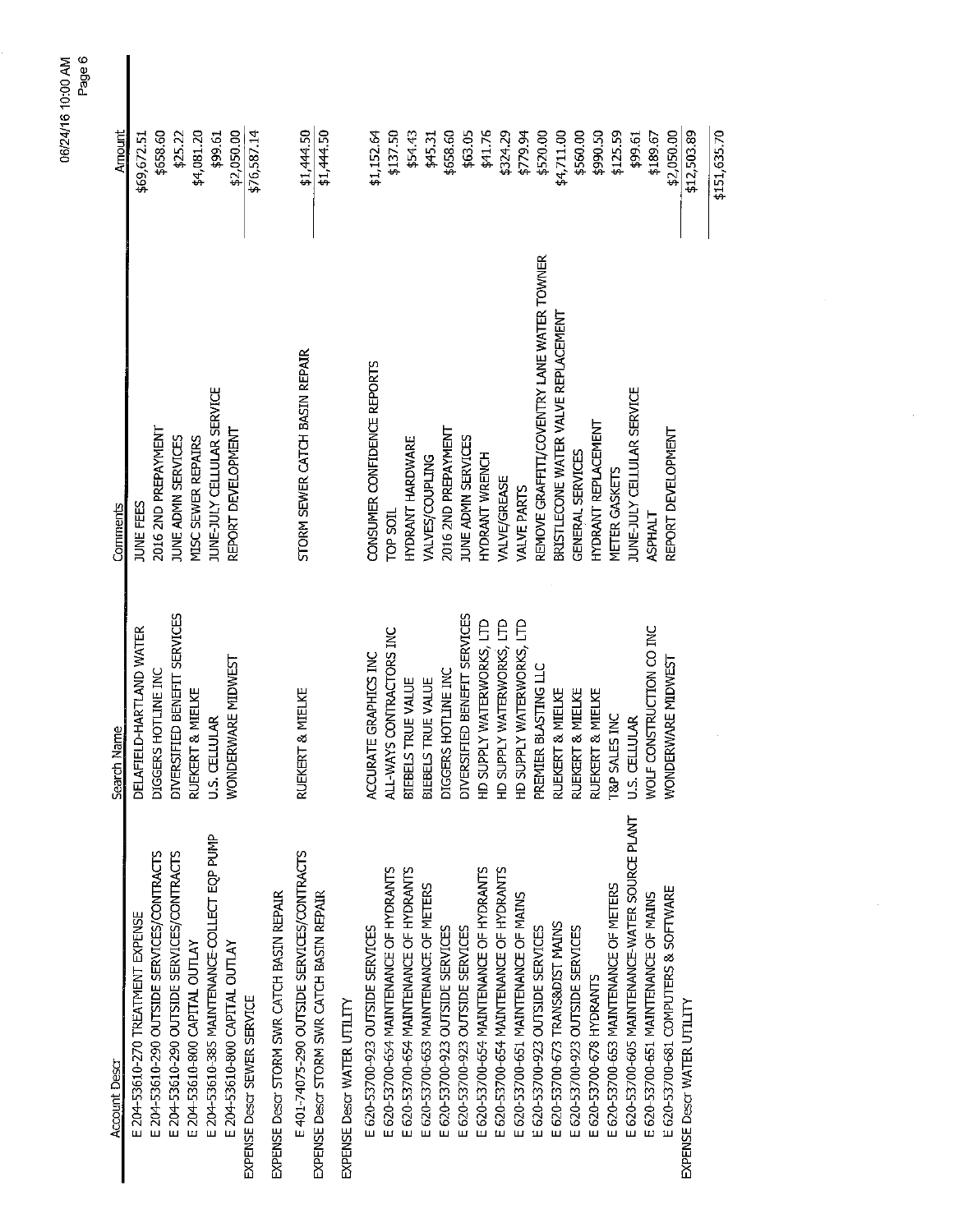| Amount               | \$69,672.51                       | \$658.60                                   | \$25.22                                    | \$4,081.20                     | \$99.61                                      | \$2,050.00                     | \$76,587.14                 |                                            | \$1,444.50                                 | \$1,444.50                                 |                             | \$1,152.64                       | \$137.50                                | \$54.43                                 | \$45.31                               | \$658.60                         | \$63.05                          | \$41.76                                 | \$324.29                                | \$779.94                             | \$520.00                                   | \$4,711.00                          | \$560.00                         | \$990.50                   | \$125.59                              | \$99.61                                        | \$189.67                             | \$2,050.00                           | \$12,503.89                 |
|----------------------|-----------------------------------|--------------------------------------------|--------------------------------------------|--------------------------------|----------------------------------------------|--------------------------------|-----------------------------|--------------------------------------------|--------------------------------------------|--------------------------------------------|-----------------------------|----------------------------------|-----------------------------------------|-----------------------------------------|---------------------------------------|----------------------------------|----------------------------------|-----------------------------------------|-----------------------------------------|--------------------------------------|--------------------------------------------|-------------------------------------|----------------------------------|----------------------------|---------------------------------------|------------------------------------------------|--------------------------------------|--------------------------------------|-----------------------------|
| Comments             | JUNE FEES                         | 2016 2ND PREPAYMENT                        | JUNE ADMN SERVICES                         | MISC SEWER REPAIRS             | JUNE-JULY CELLULAR SERVICE                   | REPORT DEVELOPMENT             |                             |                                            | STORM SEWER CATCH BASIN REPAIR             |                                            |                             | CONSUMER CONFIDENCE REPORTS      | TOP SOIL                                | HYDRANT HARDWARE                        | VALVES/COUPLING                       | 2016 2ND PREPAYMENT              | JUNE ADMIN SERVICES              | HYDRANT WRENCH                          | <b>VALVE/GREASE</b>                     | <b>VALVE PARTS</b>                   | REMOVE GRAFFITI/COVENTRY LANE WATER TOWNER | BRISTLECONE WATER VALVE REPLACEMENT | GENERAL SERVICES                 | <b>HYDRANT REPLACEMENT</b> | <b>METER GASKETS</b>                  | JUNE-JULY CELLULAR SERVICE                     | <b>ASPHALT</b>                       | REPORT DEVELOPMENT                   |                             |
| Search Name          | DELAFIELD-HARTLAND WATER          | DIGGERS HOTLINE INC                        | DIVERSIFIED BENEFIT SERVICES               | RUEKERT & MIELKE               | <b>U.S. CELLULAR</b>                         | WONDERWARE MIDWEST             |                             |                                            | RUEKERT & MIELKE                           |                                            |                             | ACCURATE GRAPHICS INC            | ALL-WAYS CONTRACTORS INC                | <b>BIEBELS TRUE VALUE</b>               | BIEBELS TRUE VALUE                    | DIGGERS HOTLINE INC              | DIVERSIFIED BENEFIT SERVICES     | HD SUPPLY WATERWORKS, LTD               | HD SUPPLY WATERWORKS, LTD               | HD SUPPLY WATERWORKS, LTD            | PREMIER BLASTING LLC                       | RUEKERT & MIELKE                    | RUEKERT & MIELKE                 | RUEKERT & MIELKE           | <b>T&amp;P SALES INC</b>              | U.S. CELLULAR                                  | WOLF CONSTRUCTION CO INC             | WONDERWARE MIDWEST                   |                             |
| <b>Account Descr</b> | E 204-53610-270 TREATMENT EXPENSE | E 204-53610-290 OUTSIDE SERVICES/CONTRACTS | E 204-53610-290 OUTSIDE SERVICES/CONTRACTS | E 204-53610-800 CAPITAL OUTLAY | E 204-53610-385 MAINTENANCE-COLLECT EQP PUMP | E 204-53610-800 CAPITAL OUTLAY | EXPENSE Descr SEWER SERVICE | EXPENSE Descr STORM SWR CATCH BASIN REPAIR | E 401-74075-290 OUTSIDE SERVICES/CONTRACTS | EXPENSE Descr STORM SWR CATCH BASIN REPAIR | EXPENSE Descr WATER UTILITY | E 620-53700-923 OUTSIDE SERVICES | E 620-53700-654 MAINTENANCE OF HYDRANTS | E 620-53700-654 MAINTENANCE OF HYDRANTS | E 620-53700-653 MAINTENANCE OF METERS | E 620-53700-923 OUTSIDE SERVICES | E 620-53700-923 OUTSIDE SERVICES | E 620-53700-654 MAINTENANCE OF HYDRANTS | E 620-53700-654 MAINTENANCE OF HYDRANTS | E 620-53700-651 MAINTENANCE OF MAINS | E 620-53700-923 OUTSIDE SERVICES           | E 620-53700-673 TRANS&DIST MAINS    | E 620-53700-923 OUTSIDE SERVICES | E 620-53700-678 HYDRANTS   | E 620-53700-653 MAINTENANCE OF METERS | E 620-53700-605 MAINTENANCE-WATER SOURCE PLANT | E 620-53700-651 MAINTENANCE OF MAINS | E 620-53700-681 COMPUTERS & SOFTWARE | EXPENSE Descr WATER UTILITY |

 $\hat{\mathcal{A}}$ 

06/24/16 10:00 AM<br>Page 6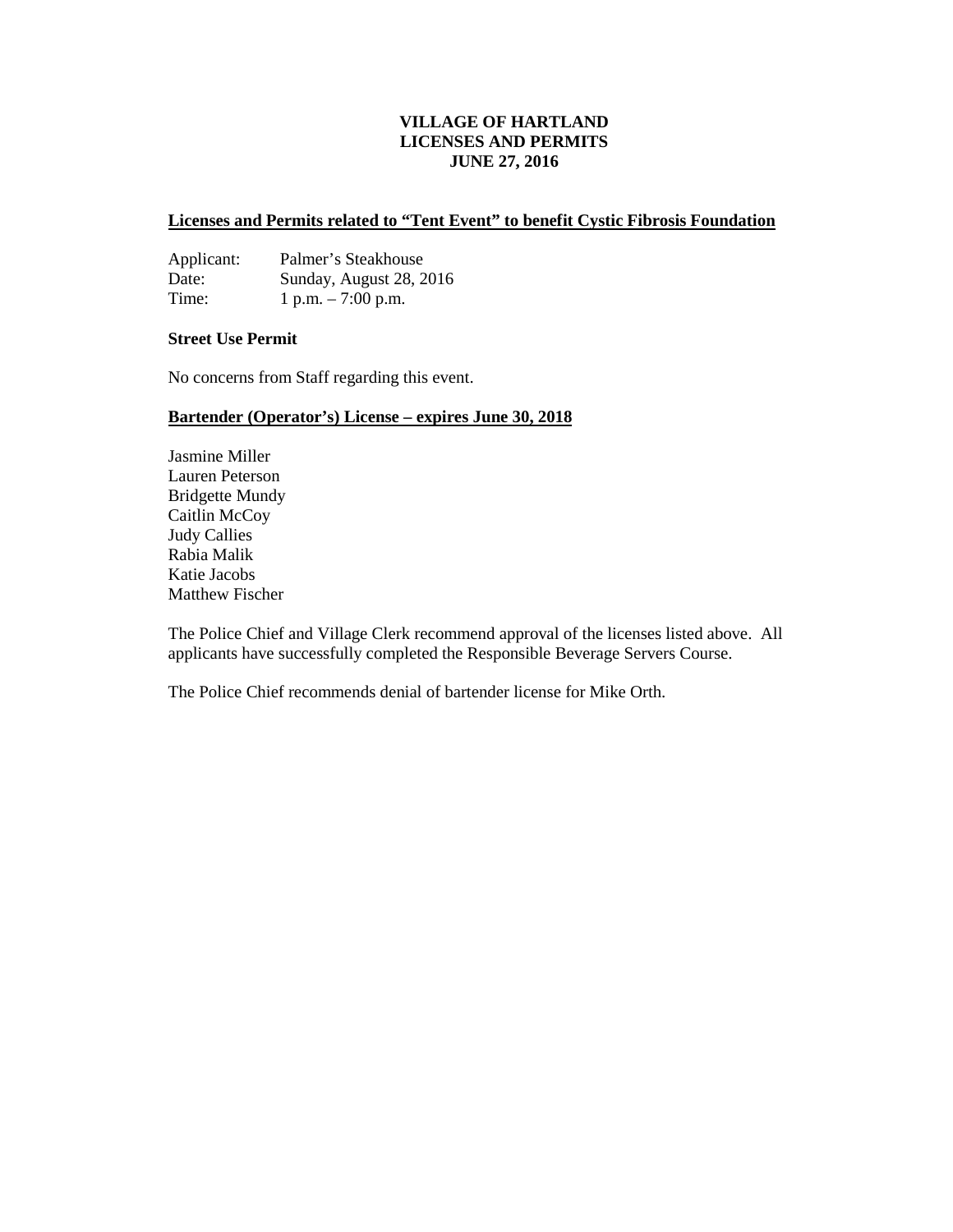#### **VILLAGE OF HARTLAND LICENSES AND PERMITS JUNE 27, 2016**

#### **Licenses and Permits related to "Tent Event" to benefit Cystic Fibrosis Foundation**

| Applicant: | Palmer's Steakhouse     |
|------------|-------------------------|
| Date:      | Sunday, August 28, 2016 |
| Time:      | 1 p.m. $-7:00$ p.m.     |

#### **Street Use Permit**

No concerns from Staff regarding this event.

#### **Bartender (Operator's) License – expires June 30, 2018**

Jasmine Miller Lauren Peterson Bridgette Mundy Caitlin McCoy Judy Callies Rabia Malik Katie Jacobs Matthew Fischer

The Police Chief and Village Clerk recommend approval of the licenses listed above. All applicants have successfully completed the Responsible Beverage Servers Course.

The Police Chief recommends denial of bartender license for Mike Orth.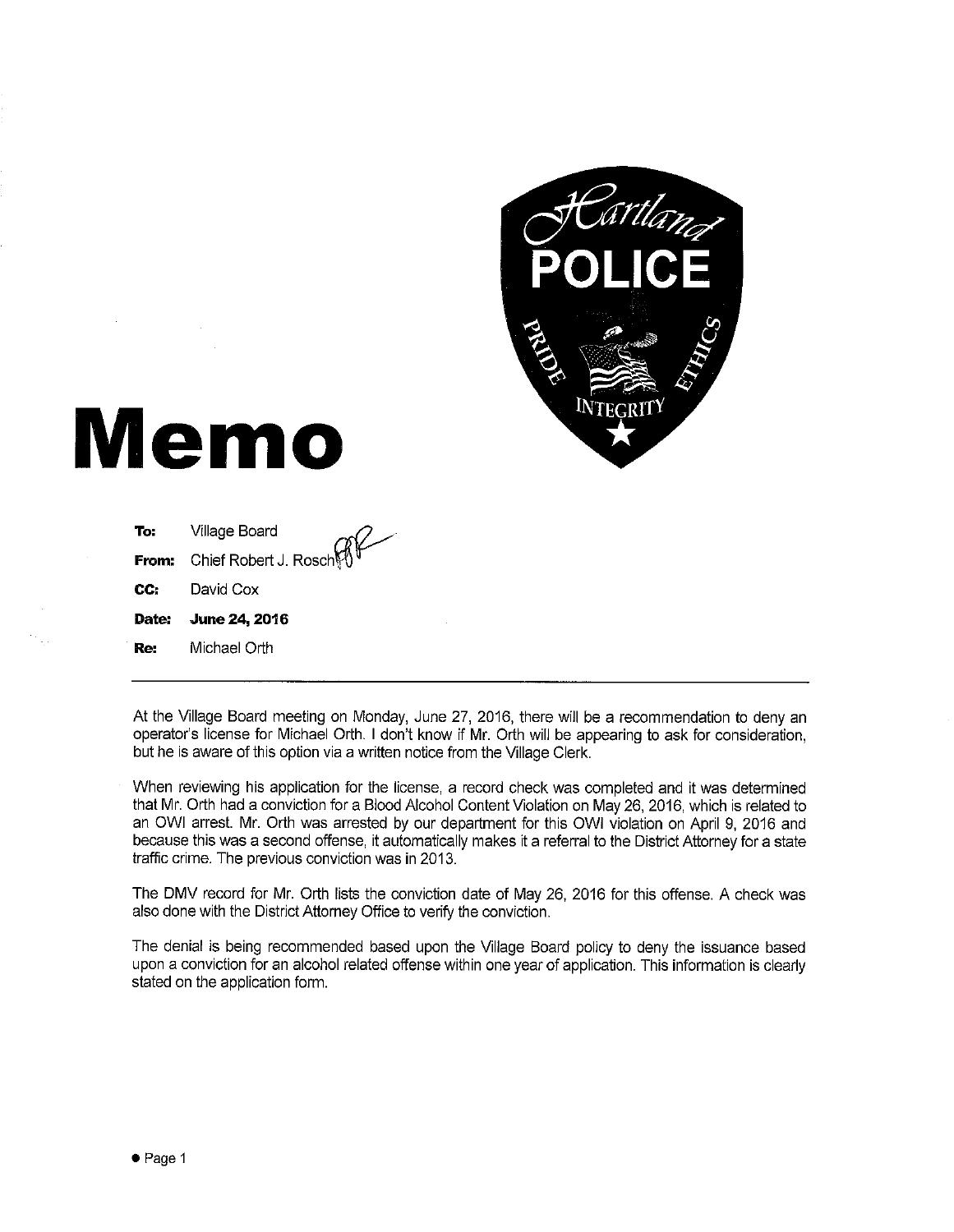

# **Memo**

| Re: | Michael Orth                       |
|-----|------------------------------------|
|     | Date: June 24, 2016                |
| CC: | David Cox                          |
|     | <b>From:</b> Chief Robert J. Rosch |
| To: | Village Board                      |

At the Village Board meeting on Monday, June 27, 2016, there will be a recommendation to deny an operator's license for Michael Orth. I don't know if Mr. Orth will be appearing to ask for consideration, but he is aware of this option via a written notice from the Village Clerk.

When reviewing his application for the license, a record check was completed and it was determined that Mr. Orth had a conviction for a Blood Alcohol Content Violation on May 26, 2016, which is related to an OWI arrest. Mr. Orth was arrested by our department for this OWI violation on April 9, 2016 and because this was a second offense, it automatically makes it a referral to the District Attorney for a state traffic crime. The previous conviction was in 2013.

The DMV record for Mr. Orth lists the conviction date of May 26, 2016 for this offense. A check was also done with the District Attorney Office to verify the conviction.

The denial is being recommended based upon the Village Board policy to deny the issuance based upon a conviction for an alcohol related offense within one year of application. This information is clearly stated on the application form.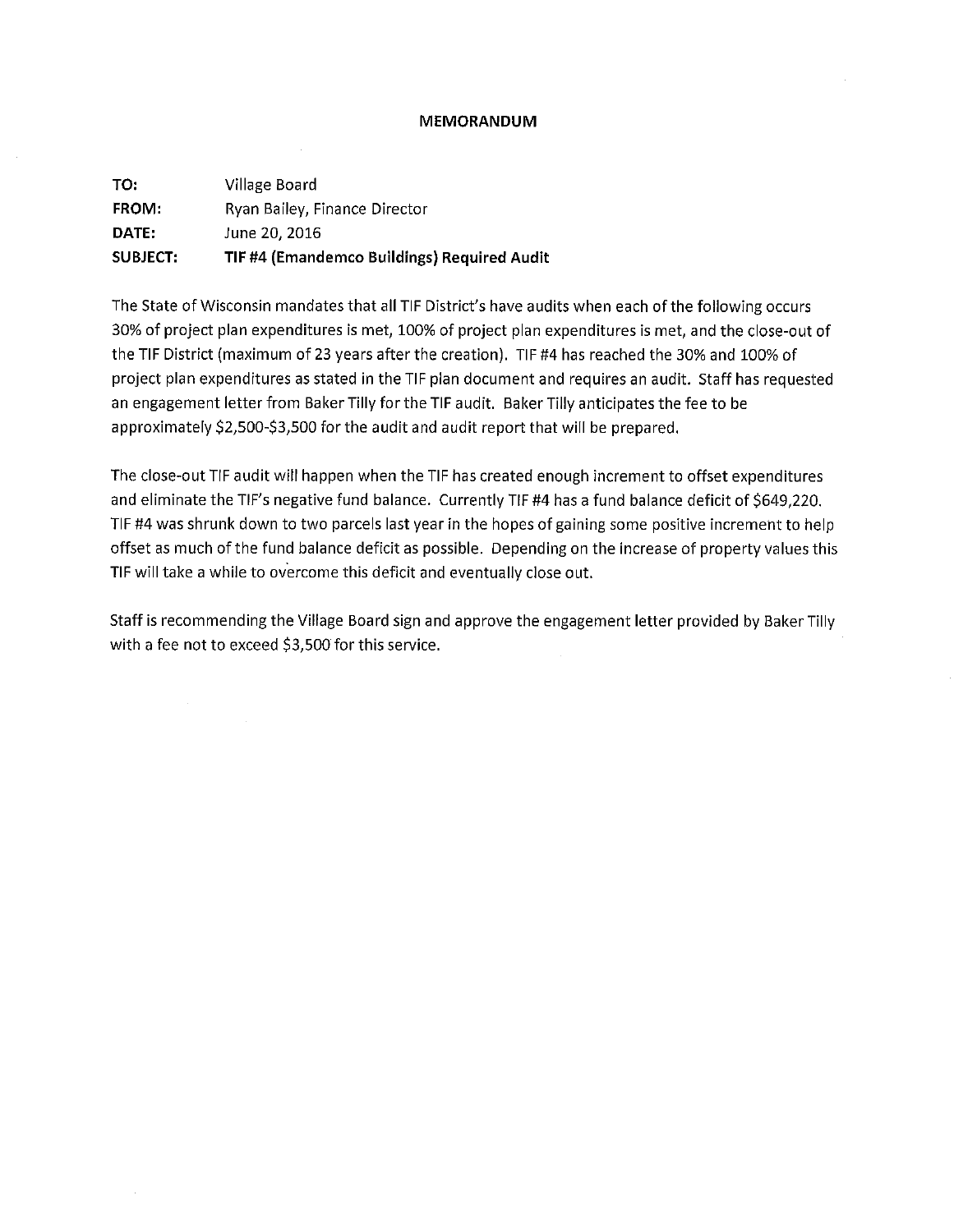#### **MEMORANDUM**

| TO:             | Village Board                               |
|-----------------|---------------------------------------------|
| <b>FROM:</b>    | Ryan Bailey, Finance Director               |
| DATE:           | June 20, 2016                               |
| <b>SUBJECT:</b> | TIF #4 (Emandemco Buildings) Required Audit |

 $\sim 10^{-1}$ 

The State of Wisconsin mandates that all TIF District's have audits when each of the following occurs 30% of project plan expenditures is met, 100% of project plan expenditures is met, and the close-out of the TIF District (maximum of 23 years after the creation). TIF #4 has reached the 30% and 100% of project plan expenditures as stated in the TIF plan document and requires an audit. Staff has requested an engagement letter from Baker Tilly for the TIF audit. Baker Tilly anticipates the fee to be approximately \$2,500-\$3,500 for the audit and audit report that will be prepared.

The close-out TIF audit will happen when the TIF has created enough increment to offset expenditures and eliminate the TIF's negative fund balance. Currently TIF #4 has a fund balance deficit of \$649,220. TIF #4 was shrunk down to two parcels last year in the hopes of gaining some positive increment to help offset as much of the fund balance deficit as possible. Depending on the increase of property values this TIF will take a while to overcome this deficit and eventually close out.

Staff is recommending the Village Board sign and approve the engagement letter provided by Baker Tilly with a fee not to exceed \$3,500 for this service.  $\sim$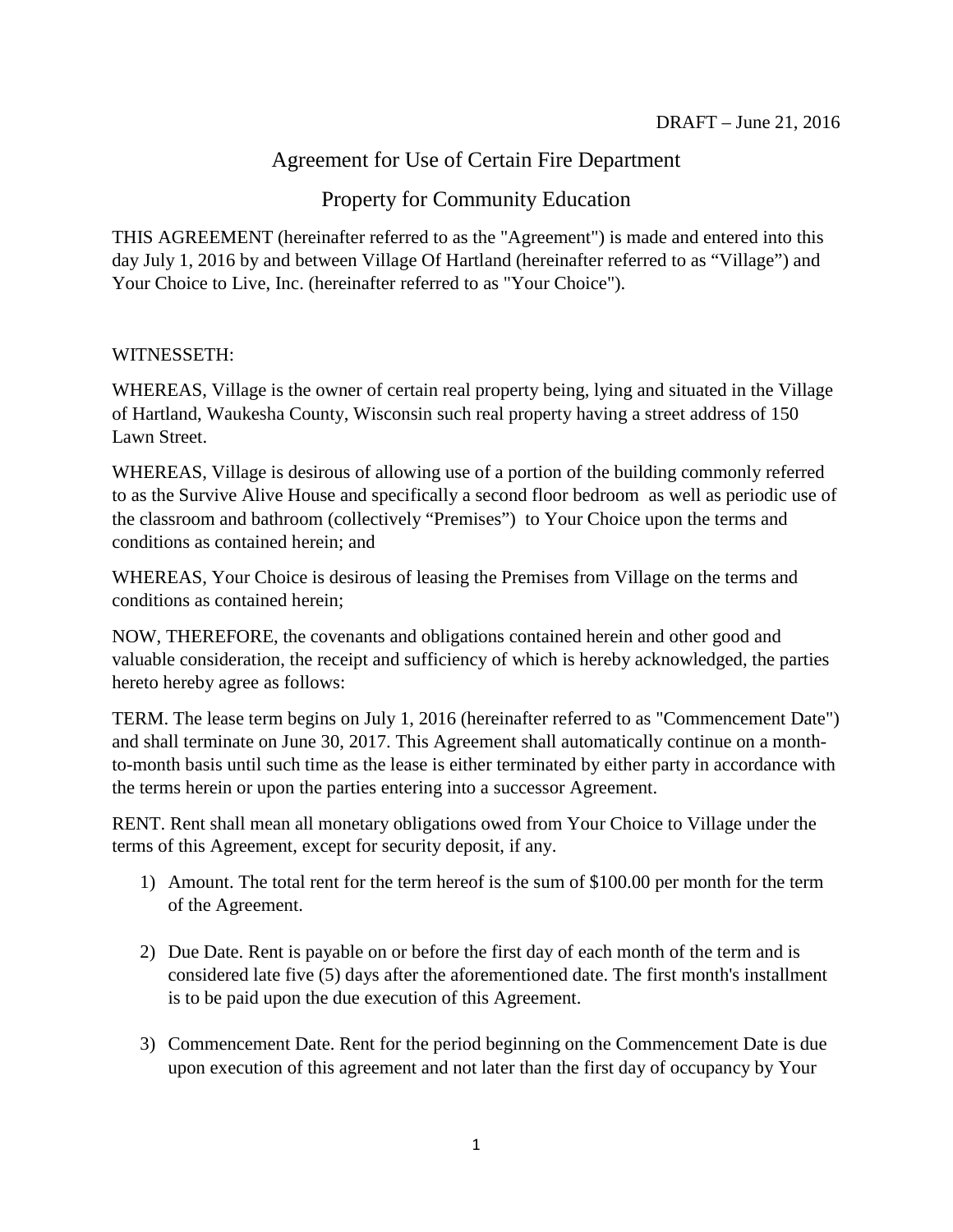# Agreement for Use of Certain Fire Department

# Property for Community Education

THIS AGREEMENT (hereinafter referred to as the "Agreement") is made and entered into this day July 1, 2016 by and between Village Of Hartland (hereinafter referred to as "Village") and Your Choice to Live, Inc. (hereinafter referred to as "Your Choice").

# WITNESSETH:

WHEREAS, Village is the owner of certain real property being, lying and situated in the Village of Hartland, Waukesha County, Wisconsin such real property having a street address of 150 Lawn Street.

WHEREAS, Village is desirous of allowing use of a portion of the building commonly referred to as the Survive Alive House and specifically a second floor bedroom as well as periodic use of the classroom and bathroom (collectively "Premises") to Your Choice upon the terms and conditions as contained herein; and

WHEREAS, Your Choice is desirous of leasing the Premises from Village on the terms and conditions as contained herein;

NOW, THEREFORE, the covenants and obligations contained herein and other good and valuable consideration, the receipt and sufficiency of which is hereby acknowledged, the parties hereto hereby agree as follows:

TERM. The lease term begins on July 1, 2016 (hereinafter referred to as "Commencement Date") and shall terminate on June 30, 2017. This Agreement shall automatically continue on a monthto-month basis until such time as the lease is either terminated by either party in accordance with the terms herein or upon the parties entering into a successor Agreement.

RENT. Rent shall mean all monetary obligations owed from Your Choice to Village under the terms of this Agreement, except for security deposit, if any.

- 1) Amount. The total rent for the term hereof is the sum of \$100.00 per month for the term of the Agreement.
- 2) Due Date. Rent is payable on or before the first day of each month of the term and is considered late five (5) days after the aforementioned date. The first month's installment is to be paid upon the due execution of this Agreement.
- 3) Commencement Date. Rent for the period beginning on the Commencement Date is due upon execution of this agreement and not later than the first day of occupancy by Your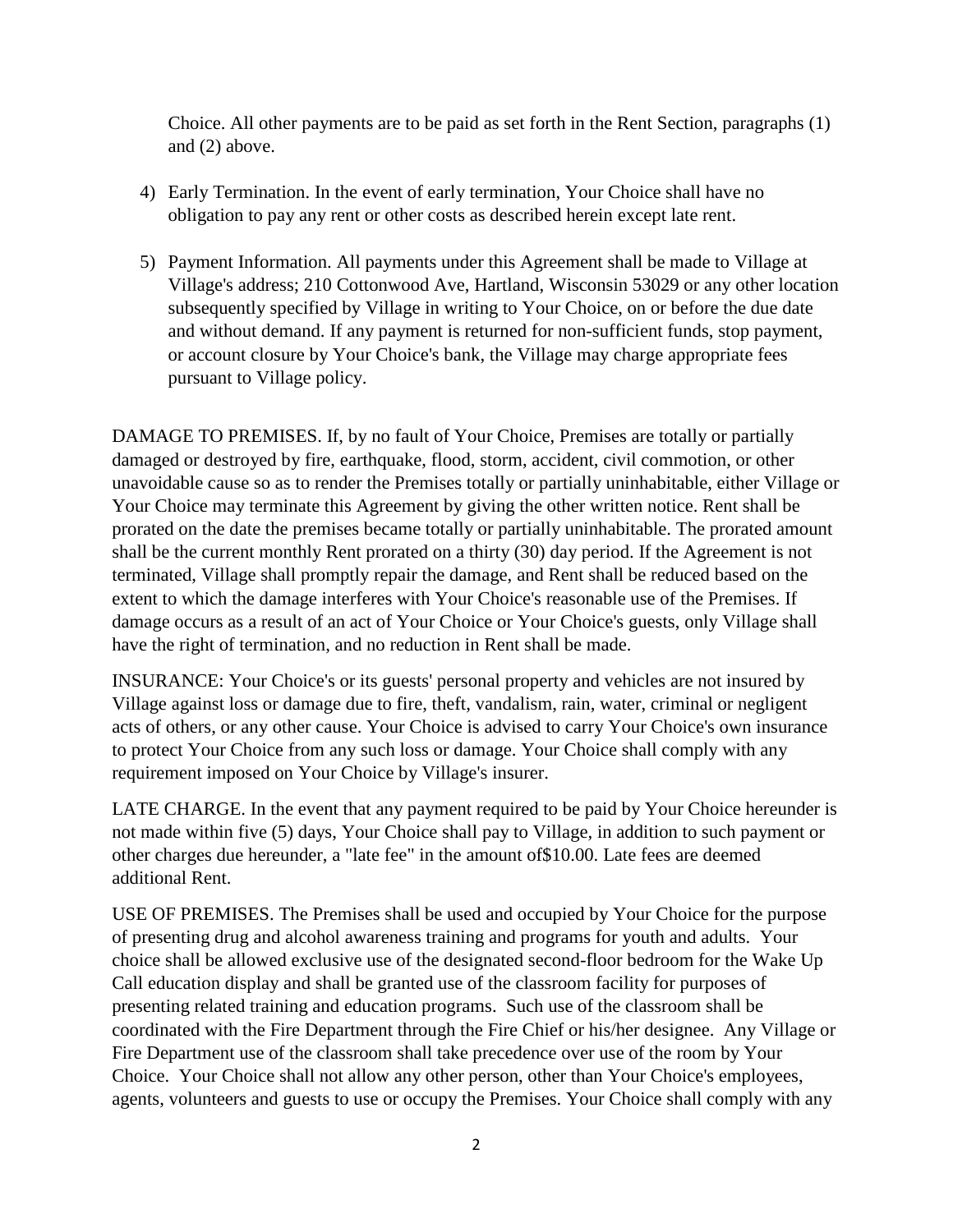Choice. All other payments are to be paid as set forth in the Rent Section, paragraphs (1) and (2) above.

- 4) Early Termination. In the event of early termination, Your Choice shall have no obligation to pay any rent or other costs as described herein except late rent.
- 5) Payment Information. All payments under this Agreement shall be made to Village at Village's address; 210 Cottonwood Ave, Hartland, Wisconsin 53029 or any other location subsequently specified by Village in writing to Your Choice, on or before the due date and without demand. If any payment is returned for non-sufficient funds, stop payment, or account closure by Your Choice's bank, the Village may charge appropriate fees pursuant to Village policy.

DAMAGE TO PREMISES. If, by no fault of Your Choice, Premises are totally or partially damaged or destroyed by fire, earthquake, flood, storm, accident, civil commotion, or other unavoidable cause so as to render the Premises totally or partially uninhabitable, either Village or Your Choice may terminate this Agreement by giving the other written notice. Rent shall be prorated on the date the premises became totally or partially uninhabitable. The prorated amount shall be the current monthly Rent prorated on a thirty (30) day period. If the Agreement is not terminated, Village shall promptly repair the damage, and Rent shall be reduced based on the extent to which the damage interferes with Your Choice's reasonable use of the Premises. If damage occurs as a result of an act of Your Choice or Your Choice's guests, only Village shall have the right of termination, and no reduction in Rent shall be made.

INSURANCE: Your Choice's or its guests' personal property and vehicles are not insured by Village against loss or damage due to fire, theft, vandalism, rain, water, criminal or negligent acts of others, or any other cause. Your Choice is advised to carry Your Choice's own insurance to protect Your Choice from any such loss or damage. Your Choice shall comply with any requirement imposed on Your Choice by Village's insurer.

LATE CHARGE. In the event that any payment required to be paid by Your Choice hereunder is not made within five (5) days, Your Choice shall pay to Village, in addition to such payment or other charges due hereunder, a "late fee" in the amount of\$10.00. Late fees are deemed additional Rent.

USE OF PREMISES. The Premises shall be used and occupied by Your Choice for the purpose of presenting drug and alcohol awareness training and programs for youth and adults. Your choice shall be allowed exclusive use of the designated second-floor bedroom for the Wake Up Call education display and shall be granted use of the classroom facility for purposes of presenting related training and education programs. Such use of the classroom shall be coordinated with the Fire Department through the Fire Chief or his/her designee. Any Village or Fire Department use of the classroom shall take precedence over use of the room by Your Choice. Your Choice shall not allow any other person, other than Your Choice's employees, agents, volunteers and guests to use or occupy the Premises. Your Choice shall comply with any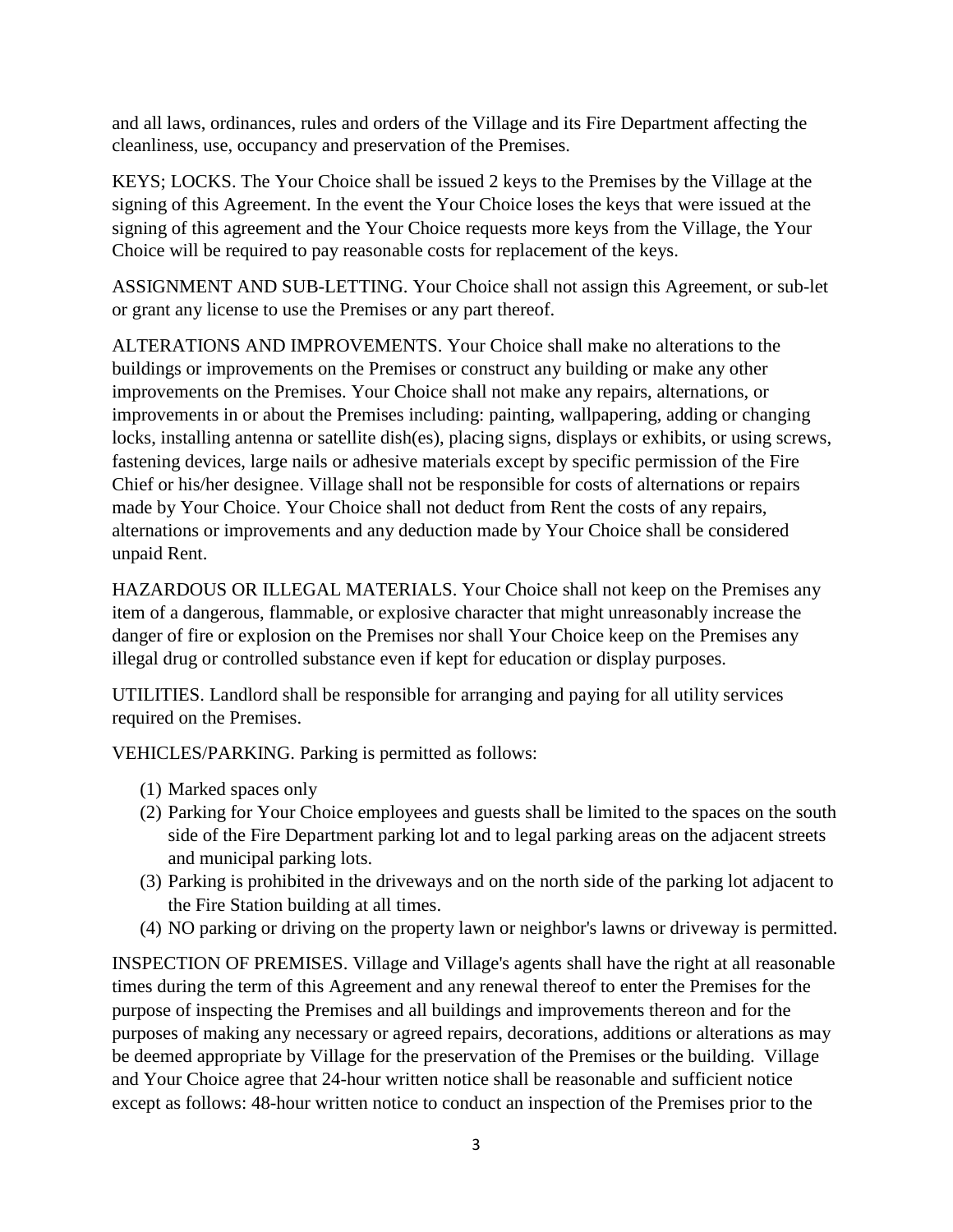and all laws, ordinances, rules and orders of the Village and its Fire Department affecting the cleanliness, use, occupancy and preservation of the Premises.

KEYS; LOCKS. The Your Choice shall be issued 2 keys to the Premises by the Village at the signing of this Agreement. In the event the Your Choice loses the keys that were issued at the signing of this agreement and the Your Choice requests more keys from the Village, the Your Choice will be required to pay reasonable costs for replacement of the keys.

ASSIGNMENT AND SUB-LETTING. Your Choice shall not assign this Agreement, or sub-let or grant any license to use the Premises or any part thereof.

ALTERATIONS AND IMPROVEMENTS. Your Choice shall make no alterations to the buildings or improvements on the Premises or construct any building or make any other improvements on the Premises. Your Choice shall not make any repairs, alternations, or improvements in or about the Premises including: painting, wallpapering, adding or changing locks, installing antenna or satellite dish(es), placing signs, displays or exhibits, or using screws, fastening devices, large nails or adhesive materials except by specific permission of the Fire Chief or his/her designee. Village shall not be responsible for costs of alternations or repairs made by Your Choice. Your Choice shall not deduct from Rent the costs of any repairs, alternations or improvements and any deduction made by Your Choice shall be considered unpaid Rent.

HAZARDOUS OR ILLEGAL MATERIALS. Your Choice shall not keep on the Premises any item of a dangerous, flammable, or explosive character that might unreasonably increase the danger of fire or explosion on the Premises nor shall Your Choice keep on the Premises any illegal drug or controlled substance even if kept for education or display purposes.

UTILITIES. Landlord shall be responsible for arranging and paying for all utility services required on the Premises.

VEHICLES/PARKING. Parking is permitted as follows:

- (1) Marked spaces only
- (2) Parking for Your Choice employees and guests shall be limited to the spaces on the south side of the Fire Department parking lot and to legal parking areas on the adjacent streets and municipal parking lots.
- (3) Parking is prohibited in the driveways and on the north side of the parking lot adjacent to the Fire Station building at all times.
- (4) NO parking or driving on the property lawn or neighbor's lawns or driveway is permitted.

INSPECTION OF PREMISES. Village and Village's agents shall have the right at all reasonable times during the term of this Agreement and any renewal thereof to enter the Premises for the purpose of inspecting the Premises and all buildings and improvements thereon and for the purposes of making any necessary or agreed repairs, decorations, additions or alterations as may be deemed appropriate by Village for the preservation of the Premises or the building. Village and Your Choice agree that 24-hour written notice shall be reasonable and sufficient notice except as follows: 48-hour written notice to conduct an inspection of the Premises prior to the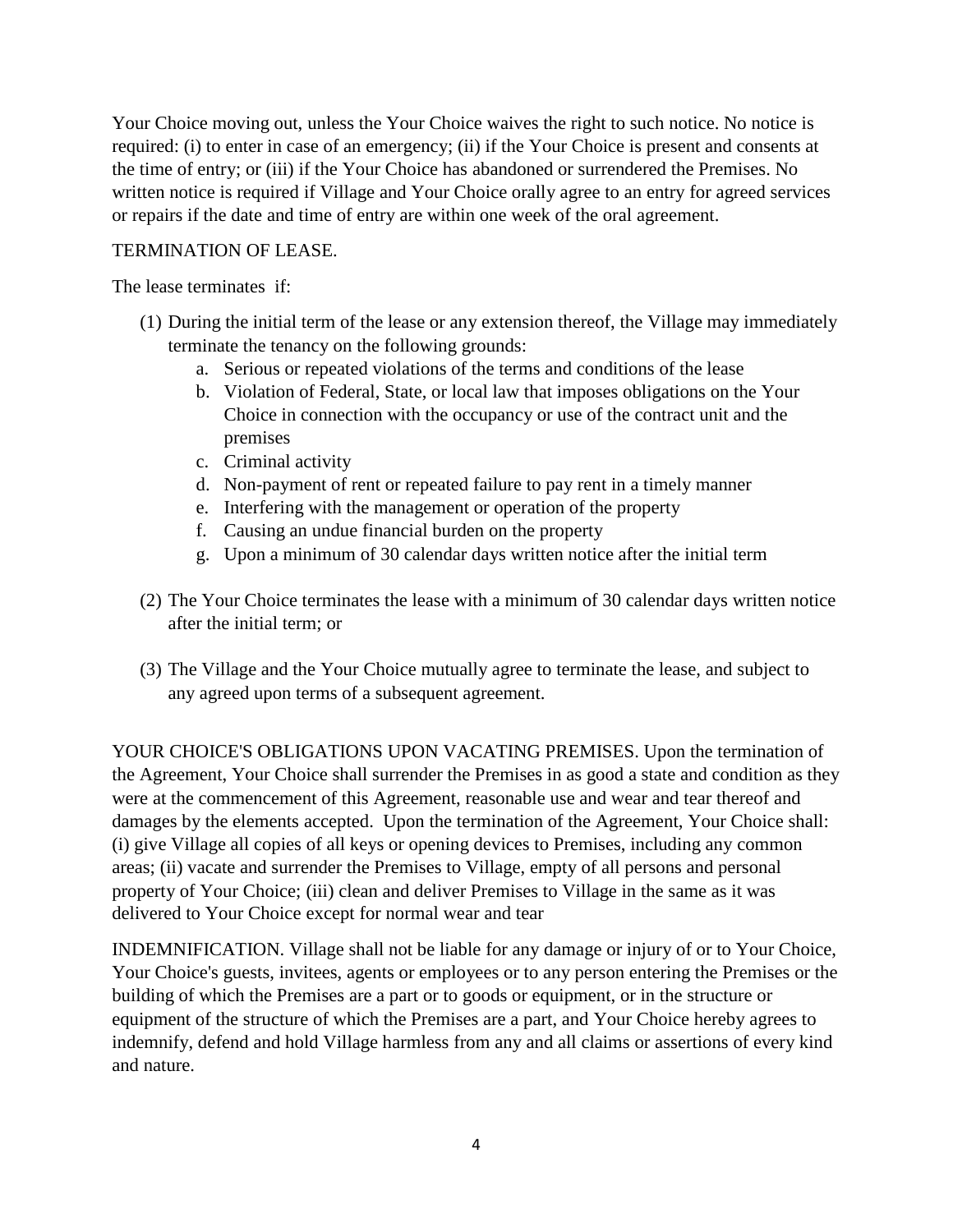Your Choice moving out, unless the Your Choice waives the right to such notice. No notice is required: (i) to enter in case of an emergency; (ii) if the Your Choice is present and consents at the time of entry; or (iii) if the Your Choice has abandoned or surrendered the Premises. No written notice is required if Village and Your Choice orally agree to an entry for agreed services or repairs if the date and time of entry are within one week of the oral agreement.

## TERMINATION OF LEASE.

The lease terminates if:

- (1) During the initial term of the lease or any extension thereof, the Village may immediately terminate the tenancy on the following grounds:
	- a. Serious or repeated violations of the terms and conditions of the lease
	- b. Violation of Federal, State, or local law that imposes obligations on the Your Choice in connection with the occupancy or use of the contract unit and the premises
	- c. Criminal activity
	- d. Non-payment of rent or repeated failure to pay rent in a timely manner
	- e. Interfering with the management or operation of the property
	- f. Causing an undue financial burden on the property
	- g. Upon a minimum of 30 calendar days written notice after the initial term
- (2) The Your Choice terminates the lease with a minimum of 30 calendar days written notice after the initial term; or
- (3) The Village and the Your Choice mutually agree to terminate the lease, and subject to any agreed upon terms of a subsequent agreement.

YOUR CHOICE'S OBLIGATIONS UPON VACATING PREMISES. Upon the termination of the Agreement, Your Choice shall surrender the Premises in as good a state and condition as they were at the commencement of this Agreement, reasonable use and wear and tear thereof and damages by the elements accepted. Upon the termination of the Agreement, Your Choice shall: (i) give Village all copies of all keys or opening devices to Premises, including any common areas; (ii) vacate and surrender the Premises to Village, empty of all persons and personal property of Your Choice; (iii) clean and deliver Premises to Village in the same as it was delivered to Your Choice except for normal wear and tear

INDEMNIFICATION. Village shall not be liable for any damage or injury of or to Your Choice, Your Choice's guests, invitees, agents or employees or to any person entering the Premises or the building of which the Premises are a part or to goods or equipment, or in the structure or equipment of the structure of which the Premises are a part, and Your Choice hereby agrees to indemnify, defend and hold Village harmless from any and all claims or assertions of every kind and nature.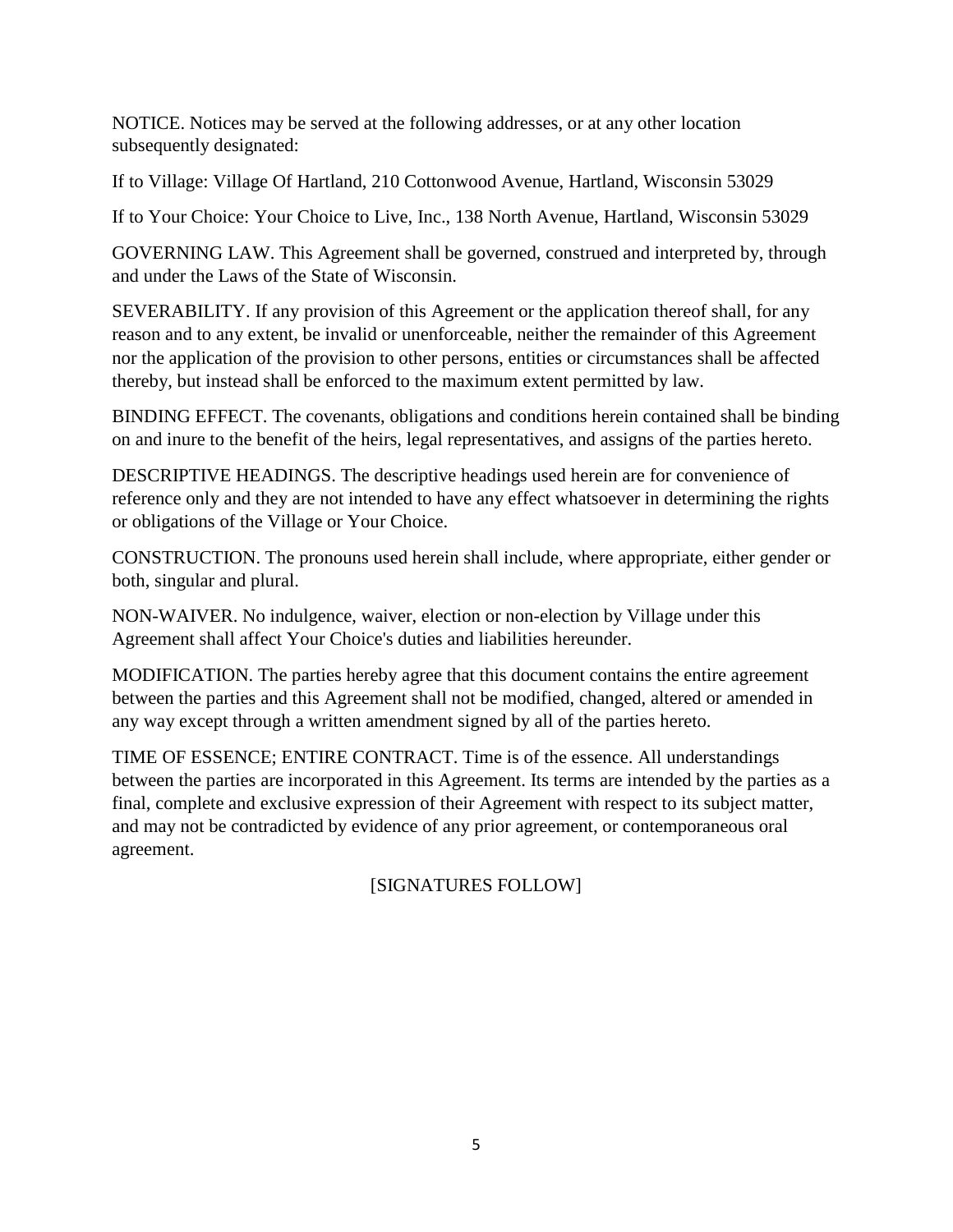NOTICE. Notices may be served at the following addresses, or at any other location subsequently designated:

If to Village: Village Of Hartland, 210 Cottonwood Avenue, Hartland, Wisconsin 53029

If to Your Choice: Your Choice to Live, Inc., 138 North Avenue, Hartland, Wisconsin 53029

GOVERNING LAW. This Agreement shall be governed, construed and interpreted by, through and under the Laws of the State of Wisconsin.

SEVERABILITY. If any provision of this Agreement or the application thereof shall, for any reason and to any extent, be invalid or unenforceable, neither the remainder of this Agreement nor the application of the provision to other persons, entities or circumstances shall be affected thereby, but instead shall be enforced to the maximum extent permitted by law.

BINDING EFFECT. The covenants, obligations and conditions herein contained shall be binding on and inure to the benefit of the heirs, legal representatives, and assigns of the parties hereto.

DESCRIPTIVE HEADINGS. The descriptive headings used herein are for convenience of reference only and they are not intended to have any effect whatsoever in determining the rights or obligations of the Village or Your Choice.

CONSTRUCTION. The pronouns used herein shall include, where appropriate, either gender or both, singular and plural.

NON-WAIVER. No indulgence, waiver, election or non-election by Village under this Agreement shall affect Your Choice's duties and liabilities hereunder.

MODIFICATION. The parties hereby agree that this document contains the entire agreement between the parties and this Agreement shall not be modified, changed, altered or amended in any way except through a written amendment signed by all of the parties hereto.

TIME OF ESSENCE; ENTIRE CONTRACT. Time is of the essence. All understandings between the parties are incorporated in this Agreement. Its terms are intended by the parties as a final, complete and exclusive expression of their Agreement with respect to its subject matter, and may not be contradicted by evidence of any prior agreement, or contemporaneous oral agreement.

[SIGNATURES FOLLOW]